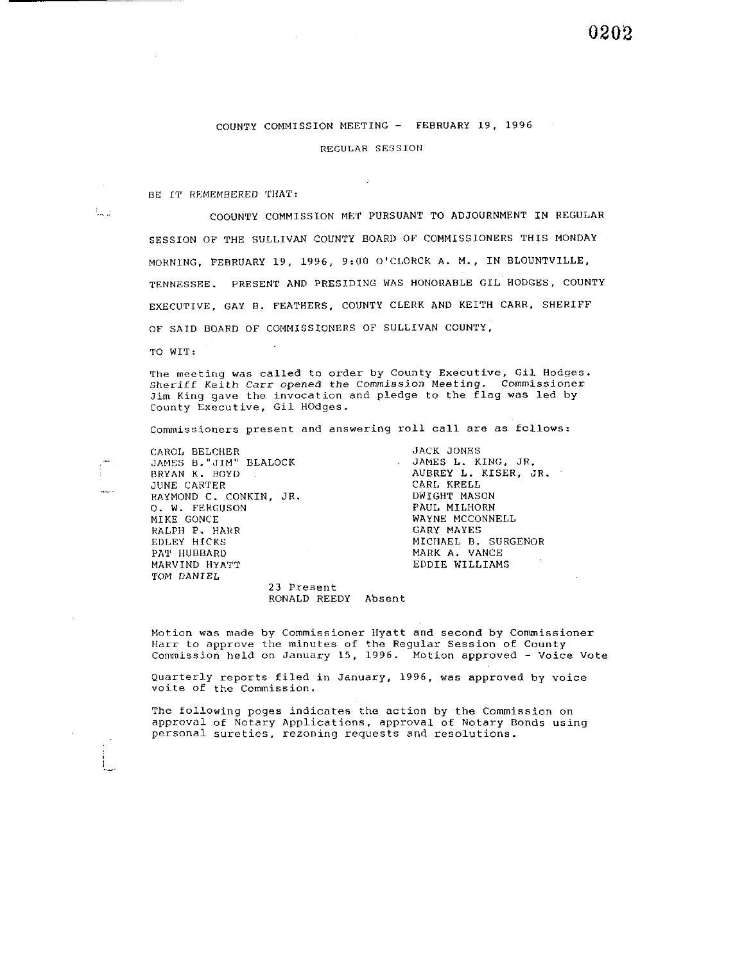#### COUNTY COMMISSION MEETING - FEBRUARY 19. 1996

REGULAR SESSION

 $\mathbf{r}$ 

BE IT REMEMBERED THAT:

ta a

COOUNTY COMMISSION MET PURSUANT TO ADJOURNMENT IN REGULAR SESSION OF THE SULLIVAN COUNTY BOARD OF COMMISSIONERS THIS MONDAY MORNING, FEBRUARY 19, 1996, 9:00 O'CLORCK A. M., IN BLOUNTVILLE, TENNESSEE. PRESENT AND PRESIDING WAS HONORABLE GIL HODGES, COUNTY EXECUTIVE, GAY B. FEATHERS, COUNTY CLERK AND KEITH CARR, SHERIFF OF SAID BOARD OF COMMISSIONERS OF SULLIVAN COUNTY,

TO WIT:

The meeting was called to order by County Executive, Gil Hodges. sheriff Keith Carr opened the Commission Meeting. Commissioner Jim King gave the invocation and pledge to the flag was led by County Executive, Gil HOdges.

Commissioners present and answering roll call are as follows:

CAROL BELCIIER JAMES B."JIM" BLALOCK BRYAN K. BOYD JUNE CARTER RAYMOND C. CONKIN, JR. 0. W. FERGUSON MIKE GONCE RALPH P. HARR EDLEY HICKS PAT HUBBARD MARVIND HYATT TOM DANIEL

JACK JONES JAMES L. KING, JR. AUBREY **I,.** KISER. JR. CARL KRELL DWIGHT MASON PAUL MILHORN WAYNE MCCONNELL GARY MAYES MICHAEL B. SURGENOR MARK A. VANCE EDDIE WILLIAMS

23 Present RONALD REEDY Absent

Motion was made by Commissioner Hyatt and second by Commissioner Harr to approve the minutes of the Regular Session of County Commission held on January 15, 1996. Motion approved - Voice Vote

Quarterly reports filed in January, 1996, was approved by voice voite of the Commission.

The following poges indicates the action by the Commission on approval of Notary Applications, approval of Notary Bonds using personal sureties, rezoning requests and resolutions.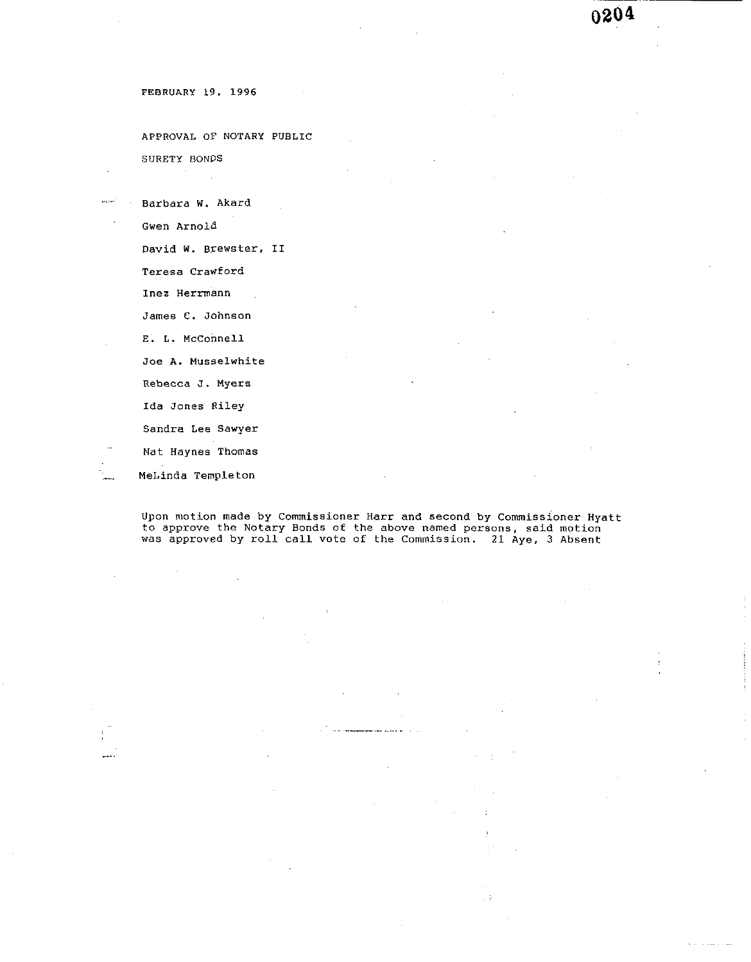APPROVAL OF NOTARY PUBLIC SURETY BONDS

Barbara W. Akard

Gwen Arnold

David W. Brewster. 11

Teresa Crawford

Inez Herrmann

James C. Johnson

E. L. Mcconnell

Joe **A.** Musselwhite

Rebecca **J.** Myers

Ida Jones Riley

Sandra Lee Sawyer

Nat Haynes Thomas

. MeLinda Templeton

 $\sim$ 

Upon motion made by Commissioner Harr and second by commissioner Hyatt to approve the Notary Bonds of the above named persons, said motion was approved by roll call vote of the Commission. 21 Aye, 3 Absent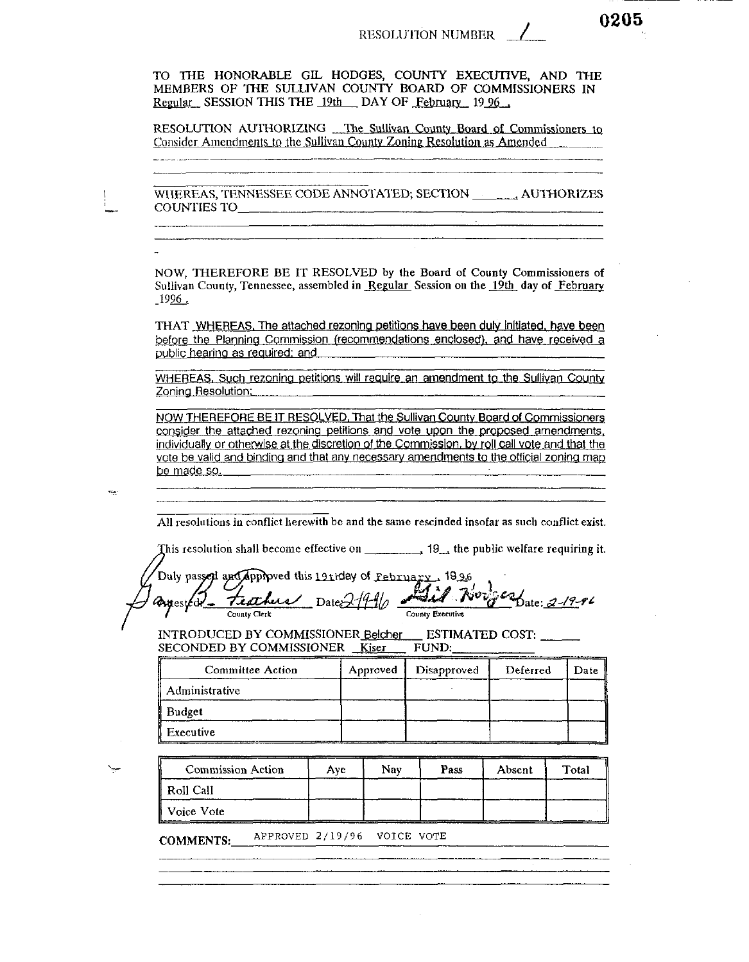0205

TO THE HONORABLE GIL HODGES, COUNTY EXECUTIVE, AND THE MEMBERS OF THE SULLIVAN COUNTY BOARD OF COMMISSIONERS IN Regular SESSION THIS THE 19th DAY OF February 19 96.

RESOLUTION AUTHORIZING The Sullivan County Board of Commissioners to Consider Amendments to the Sullivan County Zoning Resolution as Amended

WIJEREAS, TENNESSEE CODE ANNOTATED; SECTION \_\_\_\_\_\_\_\_ AUTHORIZES COUNTIES TO

NOW, THEREFORE BE IT RESOLVED by the Board of County Commissioners of Sullivan County, Tennessee, assembled in Regular Session on the 19th day of February 1996.

THAT WHEREAS. The attached rezoning petitions have been duly initiated, have been before the Planning Commission (recommendations enclosed), and have received a public hearing as required; and

WHEREAS, Such rezoning petitions will require an amendment to the Sullivan County Zoning Resolution:

NOW THEREFORE BE IT RESOLVED, That the Sullivan County Board of Commissioners consider the attached rezoning petitions and vote upon the proposed amendments. individually or otherwise at the discretion of the Commission, by roll call vote and that the vote be valid and binding and that any necessary amendments to the official zoning map be made so.

All resolutions in conflict herewith be and the same rescinded insofar as such conflict exist.

This resolution shall become effective on  $\qquad \qquad$ , 19, the public welfare requiring it.

Duly passed and approved this 19thday of February 1996 1000 Date: 2-19-96 texture Dates 1990 **Partested** County Executive County Clerk

INTRODUCED BY COMMISSIONER Belcher ESTIMATED COST: SECONDED BY COMMISSIONER Kiser FUND:

| Committee Action | Approved | Disapproved | Deferred | Date |
|------------------|----------|-------------|----------|------|
| Administrative   |          |             |          |      |
| Budget           |          |             |          |      |
| Executive        |          |             |          |      |

| <b>Commission Action</b> | Ave | Nav | Pass | Absent | Total |
|--------------------------|-----|-----|------|--------|-------|
| Roll Call                |     |     |      |        |       |
| Voice Vote               |     |     |      |        |       |

APPROVED 2/19/96 VOICE VOTE **COMMENTS:**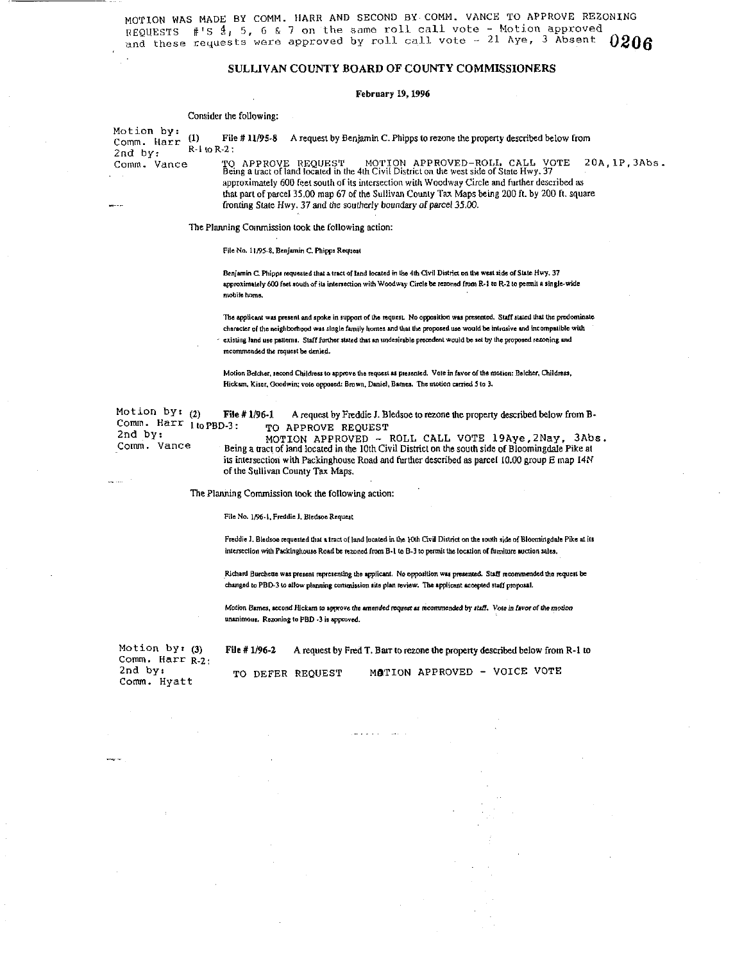MOTION WAS MADE BY COMM. HARR AND SECOND BY COMM. VANCE TO APPROVE REZONING REQUESTS #'S  $4$ , 5, 6 & 7 on the same roll call vote - Motion approved and these requests were approved by roll call vote  $\sim$  21 Aye, 3 Absent  $0206$ 

#### SULLIVAN COUNTY BOARD OF COUNTY COMMISSIONERS

#### February 19, 1996

#### Consider the following:

Motion by:  $(1)$ File #11/95-8 A request by Benjamin C. Phipps to rezone the property described below from Comm. Harr  $R-1$  to  $R-2$ :  $2nd$  by: TO APPROVE REQUEST MOTION APPROVED-ROLL, CALL VOTE 20A, 1P, 3Abs.<br>Being a tract of land located in the 4th Civil District on the west side of State Hwy. 37 Comm. Vance approximately 600 feet south of its intersection with Woodway Circle and further described as that part of parcel 35.00 map 67 of the Sullivan County Tax Maps being 200 ft. by 200 ft. square fronting State Hwy. 37 and the southerly boundary of parcel 35.00.

The Planning Commission took the following action:

File No. 11/95-8, Benjamin C. Phipps Request

Benjamin C. Phipps requested that a tract of land located in the 4th Civil District on the west side of State Hwy. 37 approximately 600 feet south of its intersection with Woodway Circle be rezoned from R-1 to R-2 to permit a single-wide mobile home

The applicant was present and spoke in support of the request. No opposition was presented. Staff stated that the predominate character of the neighborhood was single family homes and that the proposed use would be intrusive and incompatible with existing land use patterns. Staff further stated that an undesirable precedent would be set by the proposed rezoning and recommended the request be denied.

Motion Beicher, second Childress to approve the request as presented. Vote in favor of the motion: Belcher, Childress, Hickum, Kiser, Goodwin; vote opposed: Brown, Daniel, Bames. The motion carried 5 to 3.

Motion by:  $(2)$ Comm. Harr 1 to PBD-3: 2nd  $by:$ Comm. Vance

File # 1/96-1 A request by Freddie J. Bledsoe to rezone the property described below from B-TO APPROVE REQUEST

MOTION APPROVED - ROLL CALL VOTE 19Aye, 2Nay, 3Abs. Being a tract of land located in the 10th Civil District on the south side of Bloomingdale Pike at its intersection with Packinghouse Road and further described as parcel 10.00 group E map 14N of the Sullivan County Tax Maps.

The Planning Commission took the following action:

File No. 1/96-1, Freddie J. Bledsoe Request

Freddie J. Bledsoe requested that a tract of land located in the 10th Civil District on the south side of Bloomingdale Pike at its intersection with Packinghouse Road be rezoned from B-1 to B-3 to permit the location of fumilure auction sales.

Richard Burchette was present representing the applicant. No opposition was presented. Staff recommended the request be changed to PBD-3 to allow planning commission site plan review. The applicant accepted staff proposal.

Motion Barnes, second Hickam to approve the amended request as recommended by staff. Vote in favor of the motion unanimous. Rezoning to PBD -3 is approved.

File # 1/96-2 A request by Fred T. Barr to rezone the property described below from R-1 to

Motion by:  $(3)$ Comm. Harr R-2: 2nd by: Comm. Hyatt

MATION APPROVED - VOICE VOTE TO DEFER REQUEST

داد لا بر سال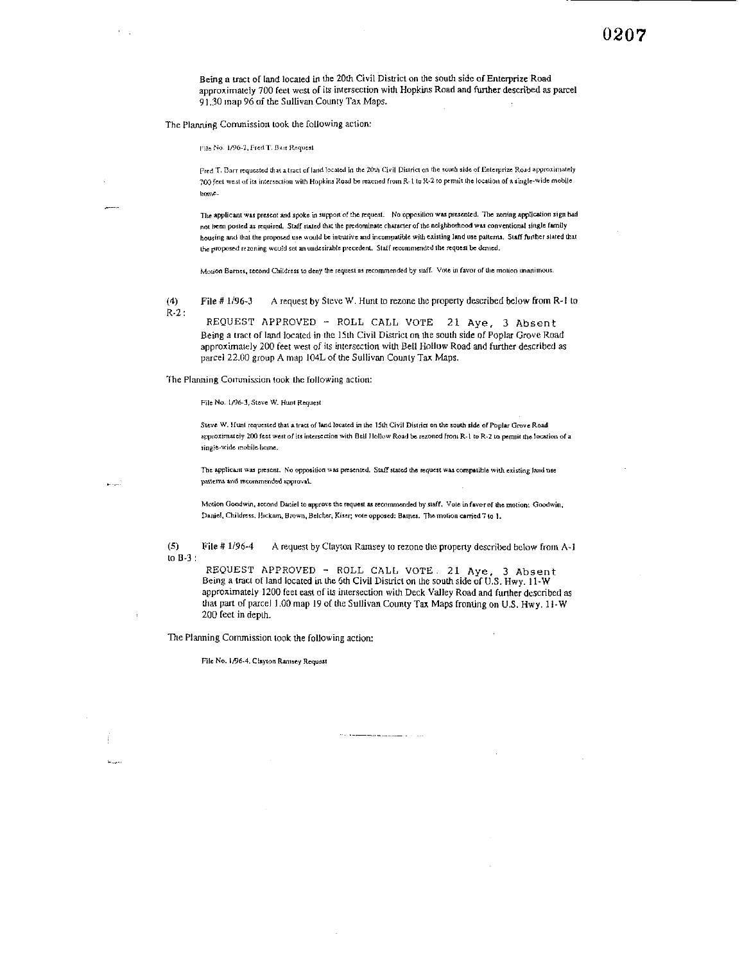Being a tract of land located in the 20th Civil District on the south side of Enterprize Road approximately 700 feet west of its intersection with Hopkins Road and further described as parcel 91.30 map 96 of the Sullivan County Tax Maps.

The Planning Commission took the following action:

File No. 1/96-2, Fred T. Bart Request

Fred T. Barr requested that a tract of land focated in the 20th Civil District on the south side of Enterprize Road approximately 700 feet west of its intersection with Hopkins Road be rezoned from R-1 to R-2 to permit the location of a single-wide mobile home.

The applicant was present and spoke in support of the request. No opposition was presented. The zoning application sign had not been posted as required. Staff stated that the predominate character of the neighborhood was conventional single family housing and that the proposed use would be intrusive and incompatible with existing land use patterns. Staff further stated that the proposed rezoning would set an undesirable precedent. Staff recommended the request be denied.

Motion Barnes, second Childress to deny the request as recommended by staff. Vote in favor of the motion unanimous.

A request by Steve W. Hunt to rezone the property described below from R-1 to  $(4)$ File # 1/96-3  $R-2$ :

REQUEST APPROVED - ROLL CALL VOTE 21 Aye, 3 Absent Being a tract of land located in the 15th Civil District on the south side of Poplar Grove Road approximately 200 feet west of its intersection with Bell Hollow Road and further described as parcel 22.00 group A map 104L of the Sullivan County Tax Maps.

The Planning Commission took the following action:

File No. 1/96-3, Steve W. Hunt Request

Steve W. Hunt requested that a tract of land located in the 15th Civil District on the south side of Poplar Grove Road approximately 200 feet west of its intersection with Bell Hollow Road be rezoned from R-1 to R-2 to permit the location of a single-wide mobile home.

The applicant was present. No opposition was presented. Staff stated the request was compatible with existing land use patterns and recommended approval.

Motion Goodwin, second Daniel to approve the request as recommended by staff. Vote in favor of the motion: Goodwin, Daniel, Childress, Hickam, Brown, Belcher, Kiser; vote opposed: Bames. The motion carried 7 to 1.

 $(5)$ File # 1/96-4 A request by Clayton Ramsey to rezone the property described below from A-1 to  $B-3$ :

REQUEST APPROVED - ROLL CALL VOTE. 21 Aye, 3 Absent Being a tract of land located in the 6th Civil District on the south side of U.S. Hwy. 11-W approximately 1200 feet east of its intersection with Deck Valley Road and further described as that part of parcel 1.00 map 19 of the Sullivan County Tax Maps fronting on U.S. Hwy. 11-W 200 feet in depth.

The Planning Commission took the following action:

File No. 1/96-4, Clayton Ramsey Request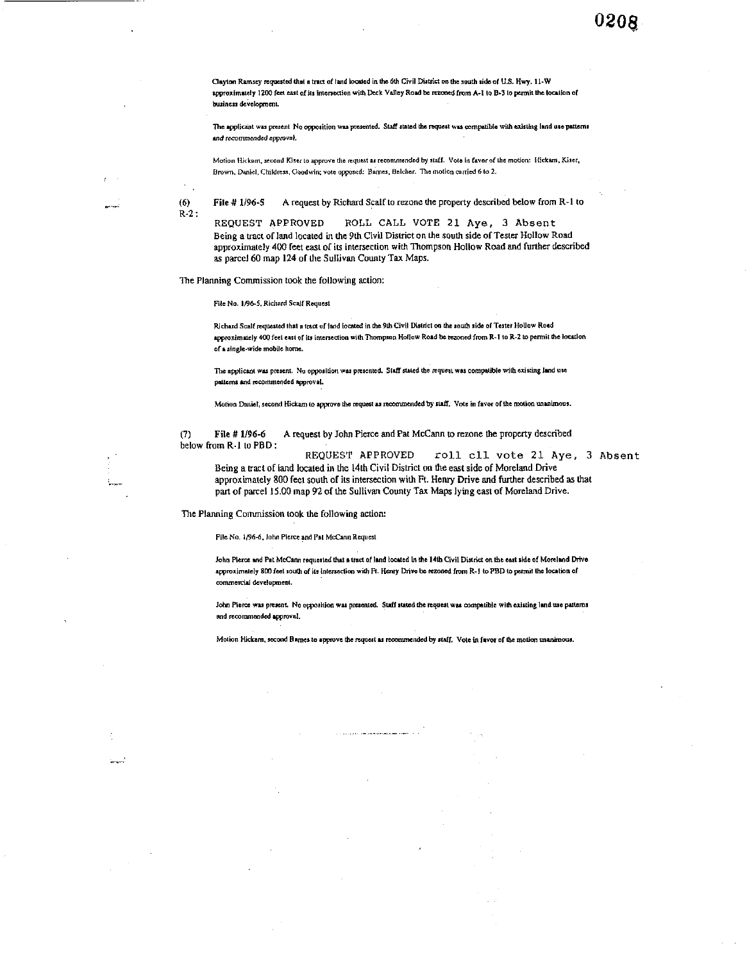Clayton Ramsey requested that a tract of land located in the 6th Civil District on the south side of U.S. Hwy. 11-W approximately 1200 feet east of its intersection with Deck Valley Road be rezoned from A-1 to B-3 to permit the location of business development.

The applicant was present No opposition was presented. Staff stated the request was compatible with existing land use patterns and recommended approval.

Motion Hickam, second Kiser to approve the request as recommended by staff. Vote in favor of the motion: Hickam, Kiser, Brown, Daniel, Childress, Goodwin; voto opposed: Bames, Belcher. The motion carried 6 to 2.

 $(6)$ 

 $R-2$ :

File # 1/96-5 A request by Richard Scalf to rezone the property described below from R-1 to

ROLL CALL VOTE 21 Aye, 3 Absent REQUEST APPROVED Being a tract of land located in the 9th Civil District on the south side of Tester Hollow Road approximately 400 feet east of its intersection with Thompson Hollow Road and further described as parcel 60 map 124 of the Sullivan County Tax Maps.

The Planning Commission took the following action:

File No. 1/96-5, Richard Scalf Request

Richard Scalf requested that a tract of fand located in the 9th Civil District on the south side of Tester Hollow Road approximately 400 feet east of its intersection with Thompson Hollow Road be rezoned from R-1 to R-2 to permit the location of a single-wide mobile home.

The applicant was present. No opposition was presented. Staff stated the request was compatible with existing land use patterns and recommended approval.

Motion Daniel, second Hickam to approve the request as recommended by staff. Vote in favor of the motion unanimous.

A request by John Pierce and Pat McCann to rezone the property described File # 1/96-6  $(7)$ below from R-1 to PBD:

REQUEST APPROVED roll cll vote 21 Aye, 3 Absent Being a tract of land located in the 14th Civil District on the east side of Moreland Drive approximately 800 feet south of its intersection with Ft. Henry Drive and further described as that part of parcel 15.00 map 92 of the Sullivan County Tax Maps lying east of Moreland Drive.

The Planning Commission took the following action:

File No. 1/96-6, John Pierce and Pat McCann Request

John Pierce and Pat McCann requested that a tract of land located in the 14th Civil District on the east side of Moreland Drive approximately 800 feet south of its intersection with Ft. Henry Drive be rezoned from R-1 to PBD to permit the location of commercial development.

John Pierce was present. No opposition was presented. Staff stated the request was compatible with existing land use patterns and recommended approval.

Motion Hickam, second Bames to approve the request as recommended by staff. Vote in favor of the motion unanimous.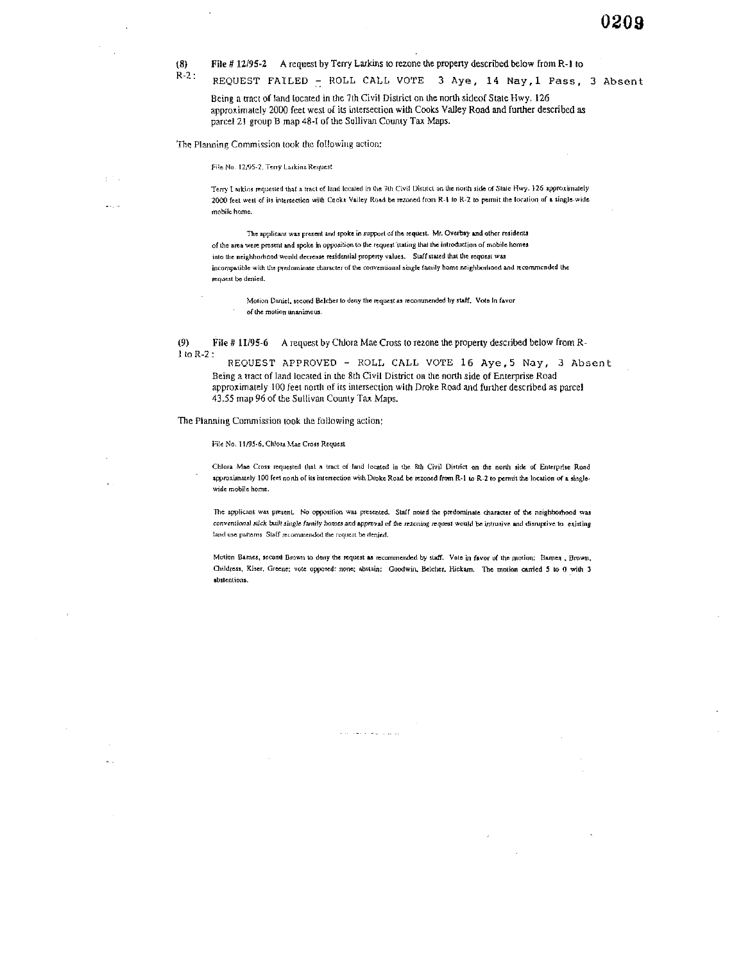File #12/95-2 A request by Terry Larkins to rezone the property described below from R-1 to  $(8)$ 

 $R-2$ : REQUEST FAILED - ROLL CALL VOTE 3 Aye, 14 Nay, 1 Pass, 3 Absent Being a tract of land located in the 7th Civil District on the north sideof State Hwy. 126

approximately 2000 feet west of its intersection with Cooks Valley Road and further described as parcel 21 group B map 48-I of the Sullivan County Tax Maps.

The Planning Commission took the following action:

File No. 12/95-2, Terry Larkins Request

 $\sigma \sim 10^5$ 

Terry Larkins requested that a tract of land located in the 7th Civil District on the north side of State Hwy. 126 approximately 2000 feet west of its intersection with Cooks Valley Road be rezoned from R-1 to R-2 to permit the location of a single-wide mobile home.

The applicant was present and spoke in support of the request. Mr. Overbay and other residents of the area were present and spoke in opposition to the request stating that the introduction of mobile homes into the neighborhood would decrease residential property values. Staff stated that the request was incompatible with the predominate character of the conventional single family home neighborhood and recommended the request be denied.

Motion Daniel, second Belcher to deny the request as recommended by staff. Vote in favor of the motion unanimous.

File #11/95-6 A request by Chlora Mae Cross to rezone the property described below from R- $(9)$  $1$  to  $R-2$ :

REQUEST APPROVED - ROLL CALL VOTE 16 Aye, 5 Nay, 3 Absent Being a tract of land located in the 8th Civil District on the north side of Enterprise Road approximately 100 feet north of its intersection with Droke Road and further described as parcel 43.55 map 96 of the Sullivan County Tax Maps.

The Planning Commission took the following action:

File No. 11/95-6, Chlora Mae Cross Request

Chlora Mae Cross requested that a tract of land located in the 8th Civil District on the north side of Enterprise Road approximately 100 feet north of its intersection with Droke Road be rezoned from R-1 to R-2 to permit the location of a singlewide mobile home.

The applicant was present. No opposition was presented. Staff noted the predominate character of the neighborhood was conventional stick built single family homes and approval of the rezoning request would be intrusive and disruptive to existing land use patterns. Staff recommended the request be denied,

Motion Bames, second Brown to deny the request as recommended by staff. Vote in favor of the motion: Barnes , Brown, Childress, Kiser. Greene; vote opposed: none; abstain: Goodwin, Belcher, Hickam, The motion carried 5 to 0 with 3 absientions.

للمستقيم والمسامين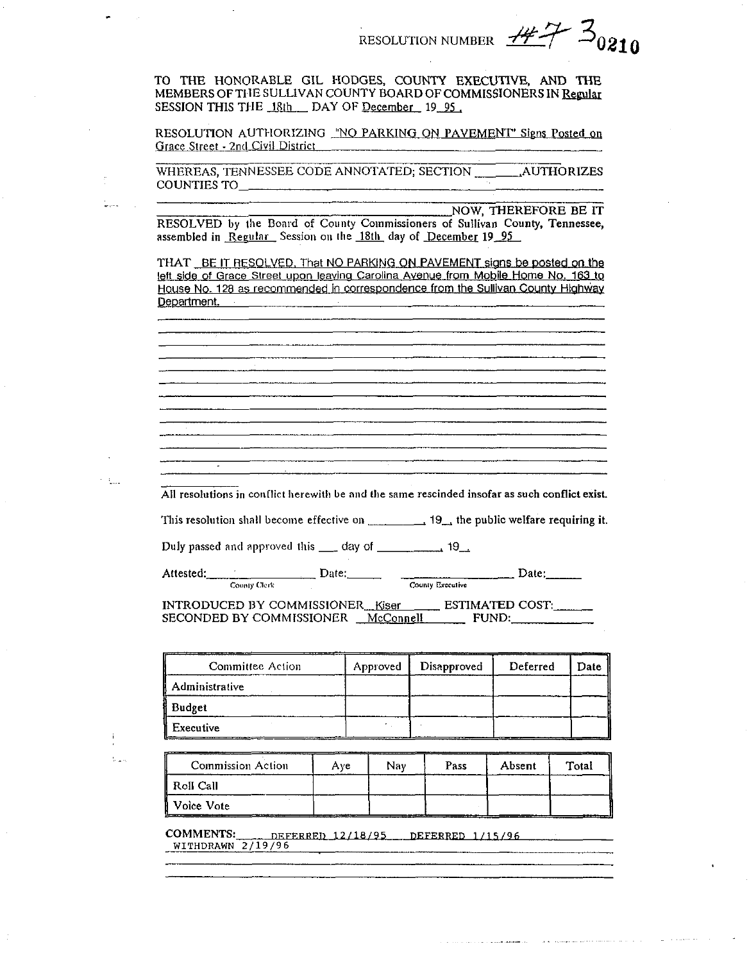RESOLUTION NUMBER  $H^2$  30210

TO THE HONORABLE GIL HODGES, COUNTY EXECUTIVE, AND THE MEMBERS OF THE SULLIVAN COUNTY BOARD OF COMMISSIONERS IN Regular SESSION THIS THE 18th DAY OF December 19 95

RESOLUTION AUTHORIZING "NO PARKING ON PAVEMENT" Signs Posted on Grace Street - 2nd Civil District

NOW, THEREFORE BE IT

and a complete the complete security of the complete security in the complete security of the complete security of the complete security of the complete security of the complete security of the complete security of the com

RESOLVED by the Board of County Commissioners of Sullivan County, Tennessee, assembled in Regular Session on the 18th day of December 19 95

THAT BE IT RESOLVED. That NO PARKING ON PAVEMENT signs be posted on the left side of Grace Street upon leaving Carolina Avenue from Mobile Home No. 163 to House No. 128 as recommended in correspondence from the Sullivan County Highway Department.

All resolutions in conflict herewith be and the same rescinded insofar as such conflict exist.

This resolution shall become effective on  $\frac{1}{2}$  19, the public welfare requiring it.

Attested: County Clerk INTRODUCED BY COMMISSIONER\_Kiser \_\_\_\_\_\_ ESTIMATED COST:\_\_\_\_\_\_\_\_\_<br>SECONDED BY COMMISSIONER \_\_McConnell \_\_\_\_\_\_\_\_\_ FUND:

| Committee Action | Approved | Disapproved | Deferred | Date |
|------------------|----------|-------------|----------|------|
| Administrative   |          |             |          |      |
| Budget           |          |             |          |      |
| Executive        |          |             |          |      |

 $\mathcal{V}_\mathrm{max}$ 

tica.

t.<br>Nati

**Commission Action**  $Aye$ Nav Pass Absent Total Roll Call Voice Vote

COMMENTS: DEFERRED 12/18/95 DEFERRED 1/15/96 WITHDRAWN 2/19/96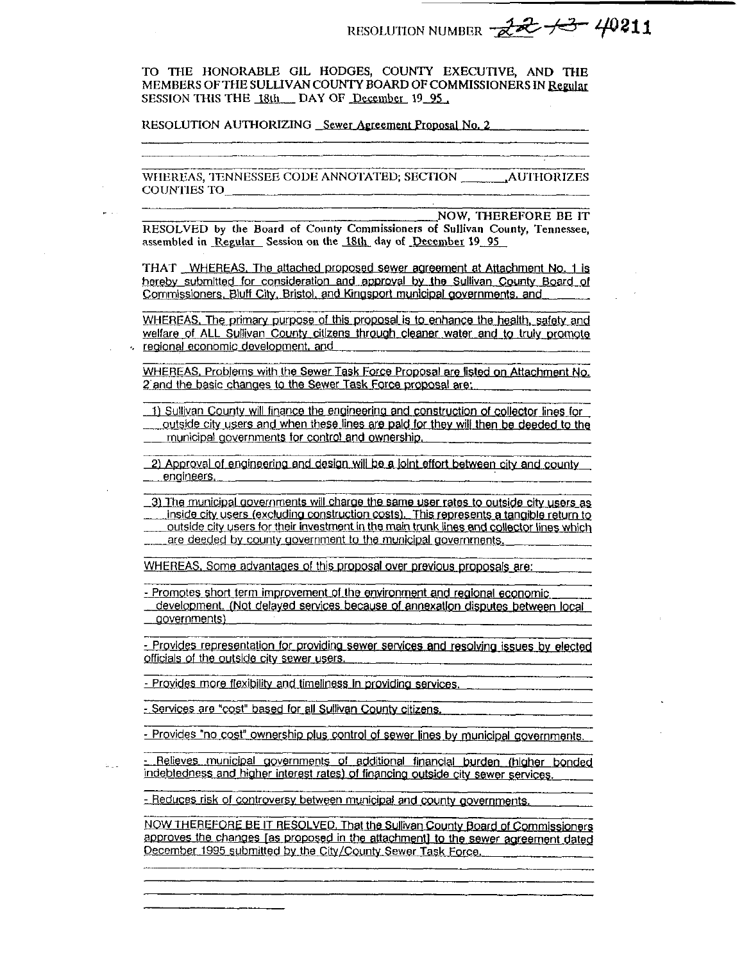RESOLUTION NUMBER -22 13 40211

TO THE HONORABLE GIL HODGES, COUNTY EXECUTIVE, AND THE MEMBERS OF THE SULLIVAN COUNTY BOARD OF COMMISSIONERS IN Regular SESSION THIS THE 18th DAY OF December 19 95

RESOLUTION AUTHORIZING Sewer Agreement Proposal No. 2

WHEREAS, TENNESSEE CODE ANNOTATED; SECTION **AUTHORIZES COUNTIES TO** 

**NOW. THEREFORE BE IT** RESOLVED by the Board of County Commissioners of Sullivan County, Tennessee. assembled in Regular Session on the 18th day of December 19 95

THAT WHEREAS. The attached proposed sewer agreement at Attachment No. 1 is hereby submitted for consideration and approval by the Sullivan County Board of Commissioners, Bluff City, Bristol, and Kingsport municipal governments, and

WHEREAS, The primary purpose of this proposal is to enhance the health, safety and welfare of ALL Sullivan County citizens through cleaner water and to truly promote regional economic development, and

WHEREAS, Problems with the Sewer Task Force Proposal are listed on Attachment No. 2 and the basic changes to the Sewer Task Force proposal are:

1) Sullivan County will finance the engineering and construction of collector lines for outside city users and when these lines are paid for they will then be deeded to the municipal governments for control and ownership.

2) Approval of engineering and design will be a joint effort between city and county engineers.

3) The municipal governments will charge the same user rates to outside city users as inside city users (excluding construction costs). This represents a tangible return to outside city users for their investment in the main trunk lines and collector lines which are deeded by county government to the municipal governments.

WHEREAS, Some advantages of this proposal over previous proposals are:

- Promotes short term improvement of the environment and regional economic development. (Not delayed services because of annexation disputes between local governments)

- Provides representation for providing sewer services and resolving issues by elected officials of the outside city sewer users.

- Provides more flexibility and timeliness in providing services.

- Services are "cost" based for all Sullivan County citizens.

- Provides "no cost" ownership plus control of sewer lines by municipal governments.

- Relieves municipal governments of additional financial burden (higher bonded indebtedness and higher interest rates) of financing outside city sewer services.

- Reduces risk of controversy between municipal and county governments.

NOW THEREFORE BE IT RESOLVED. That the Sullivan County Board of Commissioners approves the changes [as proposed in the attachment] to the sewer agreement dated December 1995 submitted by the City/County Sewer Task Force.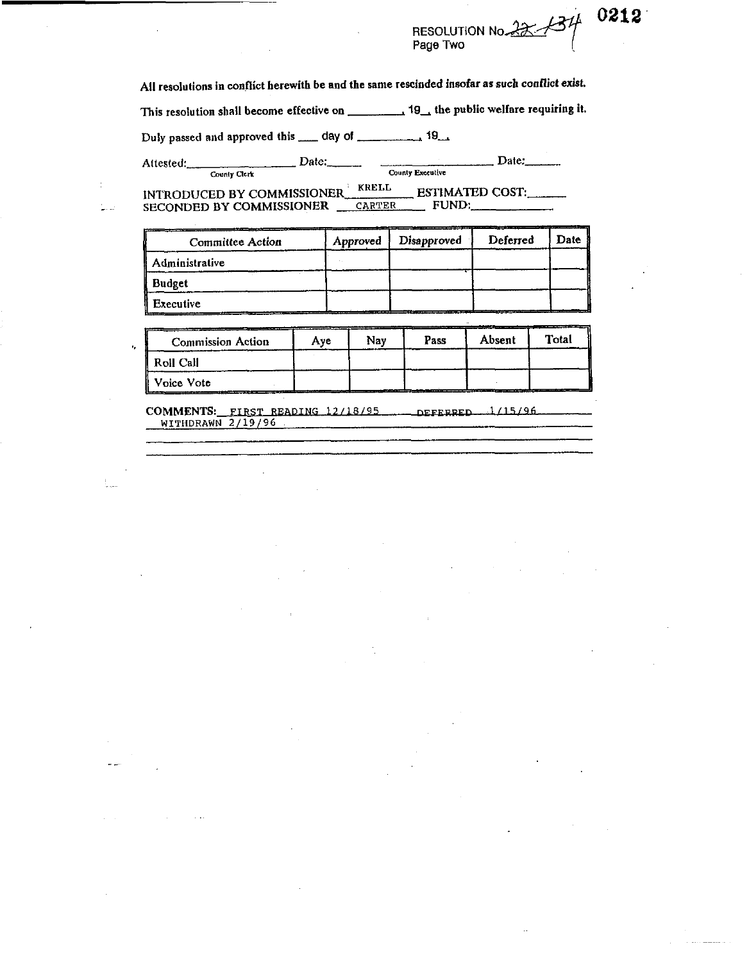# RESOLUTION No. 22 134

0212

All resolutions in conflict herewith be and the same rescinded insofar as such conflict exist.

This resolution shall become effective on \_\_\_\_\_\_\_\_\_\_\_\_\_ 19\_\_\_ the public welfare requiring it.

Duly passed and approved this \_\_\_\_ day of \_\_\_\_\_\_\_\_\_\_\_\_\_ 19\_\_\_

Attested:

ر<br>سامبو

ż,

County Clerk

 $\frac{Date:}{\frac{1}{\text{Country Executive}}}$ 

ESTIMATED COST: INTRODUCED BY COMMISSIONER SECONDED BY COMMISSIONER CARTER FUND:  $\mathbb{R}^2$ 

| <b>Committee Action</b> | Approved | Disapproved | Deferred | Date |
|-------------------------|----------|-------------|----------|------|
| Administrative          |          |             |          |      |
| Budget                  |          |             |          |      |
| Executive               |          |             |          |      |

| <b>Commission Action</b> | Ave | Nav | Pass | Absent | Total |
|--------------------------|-----|-----|------|--------|-------|
| Roll Call                |     |     |      |        |       |
| ll Voice Vote            |     |     |      |        |       |

COMMENTS: FIRST READING 12/18/95 DEFERRED 1/15/96<br>WITHDRAWN 2/19/96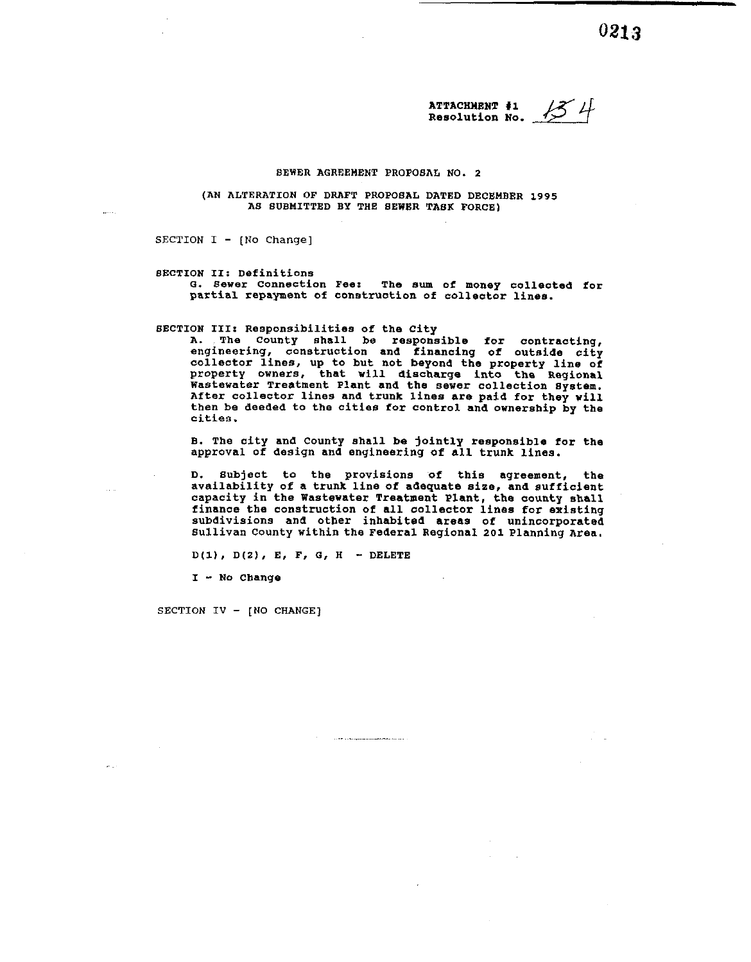**ATTACHIENT #I**  13 H **Resolution NO.** 

#### **BEWER AGREEMENT PROPOSAL NO. 2**

**(AN ALTERATION OF DRAFT PROPOSAL DATED DECEMBER 1995 AS SUBMITTED BY THE SEWER TASK FORCE)** 

SECTION I - **[NO** Change]

**SECTION 11: Definitions o. sewer Connection Pee: The sum of money colleoted for**  partial repayment of construction of collector lines.

**SECTION 111: Responsibilities Of the City** 

**A. The county shall be responsible for contracting, engineering, construction and financing of outside city collector lines, up to but not beyond the property line of property owners, that will discharge into the Regional Wastewater Treatment Plant and the sewer collection System. After collector lines and trunk lines are paid for they will then be deeded to the cities for control and ownership by the cities.** 

**B. The city and county shall be jointly responsible for the approval of design and engineering of all trunk lines.** 

**D. subject to the provisions of this agreement, the availability of a trunk line of adequate size, and sufficient capacity in the Wastewater Treatment Plant, the county shall finance the construction of all collector lines for existing subdivisions and otber inhabited areas of unincorporated Sullivan County within the Federal Regional 201 Planning Area.** 

 $\label{eq:1} \begin{array}{lllllllllllllllll} \hline \textbf{1} & \textbf{1} & \textbf{1} & \textbf{1} & \textbf{1} & \textbf{1} & \textbf{1} & \textbf{1} & \textbf{1} & \textbf{1} & \textbf{1} & \textbf{1} & \textbf{1} & \textbf{1} & \textbf{1} & \textbf{1} & \textbf{1} & \textbf{1} & \textbf{1} & \textbf{1} & \textbf{1} & \textbf{1} & \textbf{1} & \textbf{1} & \textbf{1} & \textbf{1} & \textbf{1} & \textbf{1}$ 

**D(1). D(Z), E, F, G, <sup>H</sup>**- **DELETE** 

**<sup>I</sup>**- **NO Change** 

SECTION IV - **[NO CHANGE]** 

 $\sim$   $-$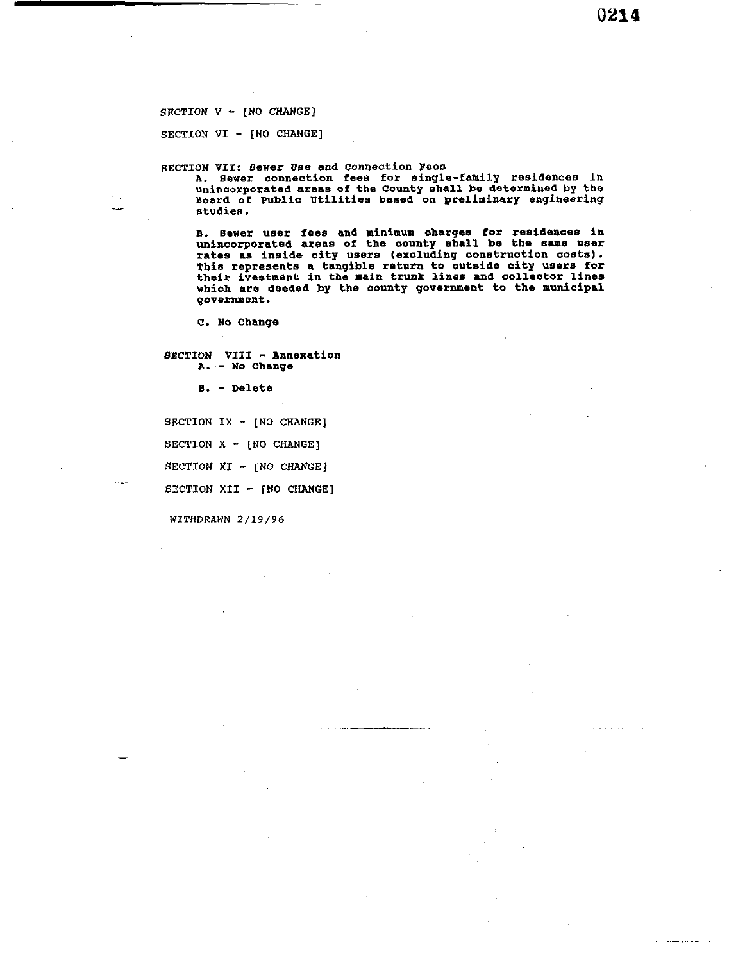**SECTION V** - **[NO CHANGE]** 

**SECTION VI** - **[NO CHANGE]** 

**SECTION VII: sewer Use and connection Pees** 

**A. Sewer connection fees for single-family residences in unincorporated areas of the County shall be determined by the Board of Public Utilities based on preliminary engineering studies.** 

**B. aewer user fees and minimum charges for reaideaces in unincorporated areas of the county shall be the same user rates as inside city users (excluding construction costs). This represents a tangible return to outside city users for their ivestment in the main trunk lines and collector lines which are deeded by the county government to the municipal government.** 

C. No Change

**~BCTION VIII** - **Annexation A.** - **No Change** 

**8.** - **Delete** 

**SECTION IX** - **[NO CHANGE]** 

**SECTION X** - **[NO CHANGE]** 

**SECTION XI** - **[NO CHANGE]** 

SECTION XII - **[NO CHANGE]** 

**WITHDRAWN 2/19/96**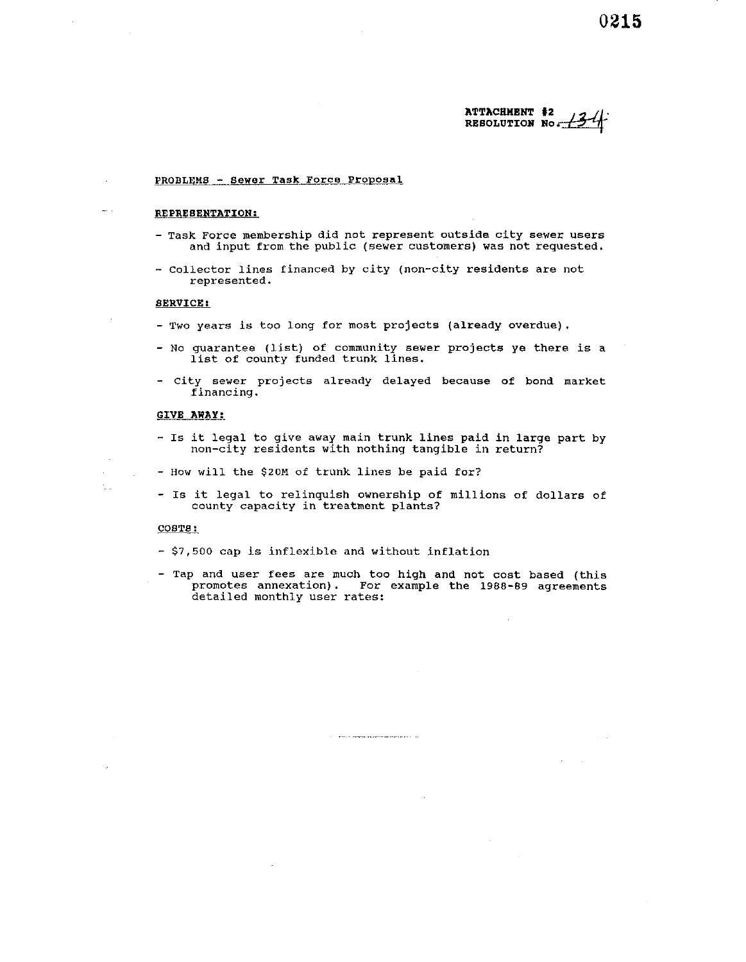#### **ATTACHMENT #Z**  RESOLUTION No.

#### PROBLEMS - Sewer Task Force Proposal

#### REPRESENTATION:

- Task Force membership did not represent outside city sewer users and input from the public (sewer customers) was not requested.
- collector lines financed by city (non-city residents are not represented.

#### SERVICE :

 $\sim$ 

t.

- Two years is too long for most projects (already overdue).
- No guarantee (list) of community sewer projects ye there is a list of county funded trunk lines.
- City sewer projects already delayed because of bond market financing.

#### GIVE AWAY:

- IS it legal to give away main trunk lines paid in large part by non-city residents with nothing tangible in return?
- How will the **\$20M** of trunk lines be paid for?
- Is it legal to relinquish ownership of millions of dollars of county capacity in treatment plants?

#### COBT8:

- \$7,500 cap is inflexible and without inflation
- Tap and user fees are much too high and not cost based (this promotes annexation). For example the **1988-89** agreements detailed monthly user rates:

 $\label{eq:1} \begin{minipage}{0.9\textwidth} \begin{minipage}{0.9\textwidth} \centering \begin{minipage}{0.9\textwidth} \centering \end{minipage} \begin{minipage}{0.9\textwidth} \centering \begin{minipage}{0.9\textwidth} \centering \end{minipage} \begin{minipage}{0.9\textwidth} \centering \end{minipage} \begin{minipage}{0.9\textwidth} \centering \end{minipage} \begin{minipage}{0.9\textwidth} \centering \end{minipage} \begin{minipage}{0.9\textwidth} \centering \end{minipage} \begin{minipage}{0.9\textwidth} \centering \end{min$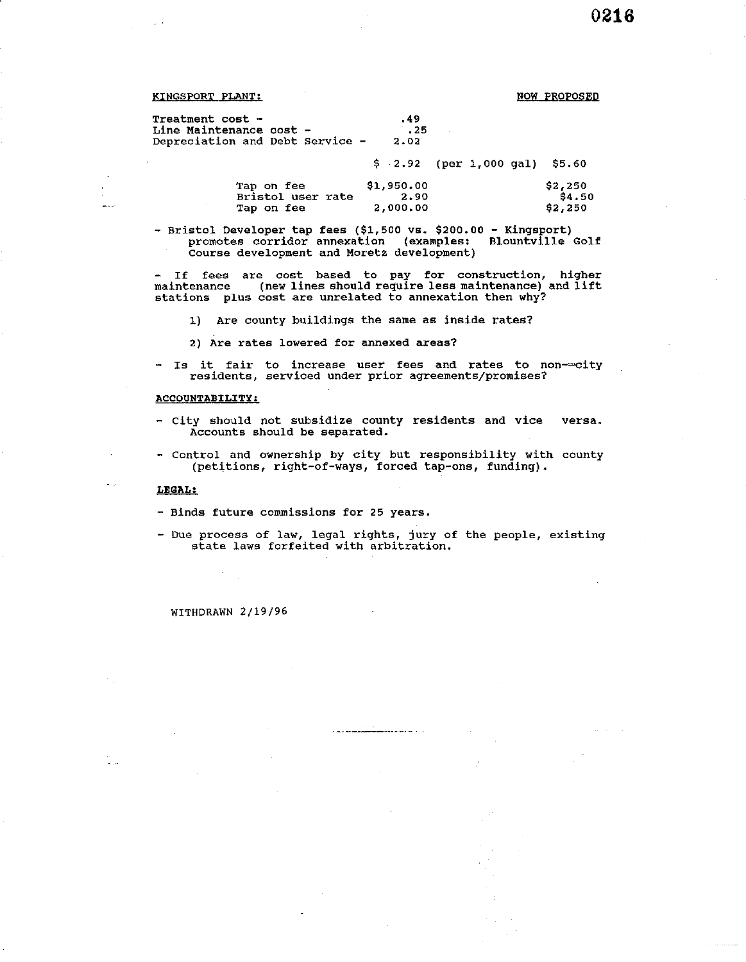| $\sim$ $\sim$                                                                         |                      | 0216 |
|---------------------------------------------------------------------------------------|----------------------|------|
|                                                                                       |                      |      |
| <u> KINGSPORT PLANT:</u>                                                              | <b>NOW PROPOSED</b>  |      |
| <b>Treatment cost -</b><br>Line Maintenance cost -<br>Depreciation and Debt Service - | .49<br>$-25$<br>2.02 |      |

\$ **2.92** (per **1,000** gal) **\$5.60** 

| Tap on fee        | \$1,950.00 | \$2,250 |
|-------------------|------------|---------|
| Bristol user rate | 2.90       | \$4.50  |
| Tap on fee        | 2,000,00   | \$2,250 |

- Bristol Developer tap fees (\$1,500 **vs. \$200.00** - Kingsport) promotes corridor annexation (examples: Blountville Golf Course development and Moretz development)

- If fees are cost based to pay for construction, higher maintenance (new lines should require less maintenance) and lift stations plus cost are unrelated to annexation then why?

1) Are county buildings the same as inside rates?

**2)** Are rates lowered for annexed areas?

- Is it fair to increase user fees and rates to non-=city residents, serviced under prior agreements/promises?

#### **ACCOUNTABILITY:**

- City should not subsidize county residents and vice versa. Accounts should be separated.
- Control and ownership by city but responsibility with county (petitions, right-of-ways, forced tap-one, funding).

#### LEOAL:

e<br>Alba

- Binds future commissions for **25** years.
- Due process of law, legal rights, jury of the people, existing state laws forfeited with arbitration.

a<br><del>Alaman ya k</del>ana a sa

**WITHDRAWN 2/19/96** 

 $\mathcal{L}$  $\mathbb{R}^2$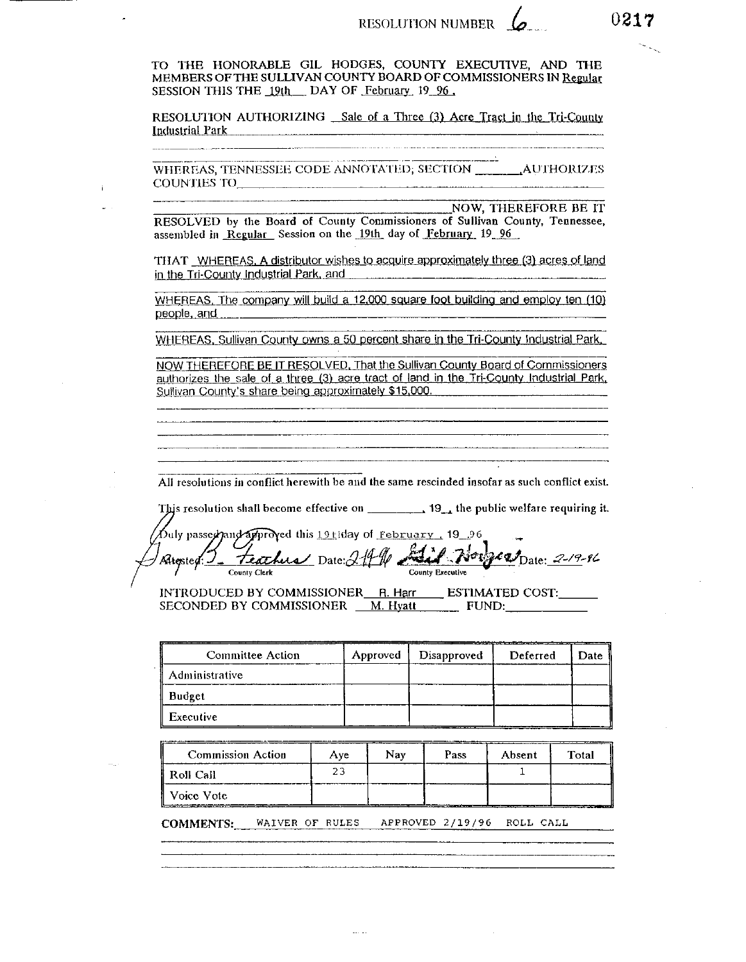TO THE HONORABLE GIL HODGES, COUNTY EXECUTIVE, AND THE MEMBERS OF THE SULLIVAN COUNTY BOARD OF COMMISSIONERS IN Regular SESSION THIS THE 19th DAY OF February 19 96.

RESOLUTION AUTHORIZING Sale of a Three (3) Acre Tract in the Tri-County Industrial Park

WHEREAS, TENNESSEE CODE ANNOTATED; SECTION \_\_\_\_\_\_\_\_AUTHORIZES COUNTIES TO

NOW, THEREFORE BE IT RESOLVED by the Board of County Commissioners of Sullivan County, Tennessee, assembled in Regular Session on the 19th day of February 19 96

THAT WHEREAS, A distributor wishes to acquire approximately three (3) acres of land in the Tri-County Industrial Park, and 

WHEREAS, The company will build a 12,000 square foot building and employ ten (10) people, and measurement and the people, and

WHEREAS, Sullivan County owns a 50 percent share in the Tri-County Industrial Park,

NOW THEREFORE BE IT RESOLVED. That the Sullivan County Board of Commissioners authorizes the sale of a three (3) acre tract of land in the Tri-County Industrial Park, Sullivan County's share being approximately \$15,000.

All resolutions in conflict herewith be and the same rescinded insofar as such conflict exist.

This resolution shall become effective on \_\_\_\_\_\_\_\_\_\_ 19\_, the public welfare requiring it.

Duly passe*r and approved this* 19tiday of <u>February,</u> 19 96 Feather Date: 219 W Said Norges Date: 2-19-86 Altersted: County Executive County Clerk

INTRODUCED BY COMMISSIONER R. Harr ESTIMATED COST: SECONDED BY COMMISSIONER \_ M. Hyatt \_ FUND:

| Committee Action  | Approved | Disapproved | Deferred | Date |
|-------------------|----------|-------------|----------|------|
| il Administrative |          |             |          |      |
| ∥ Budget          |          |             |          |      |
| Executive         |          |             |          |      |

| <b>Commission Action</b> | Ave | Nav | Pass | Absent | Total |
|--------------------------|-----|-----|------|--------|-------|
| Roll Call                |     |     |      |        |       |
| Voice Vote               |     |     |      |        |       |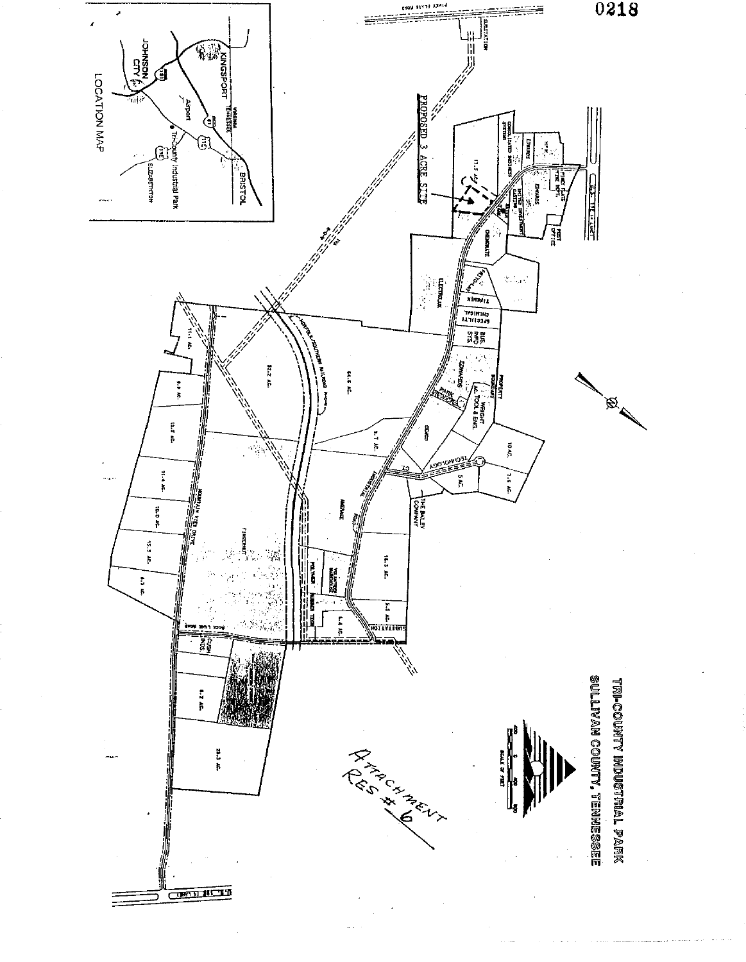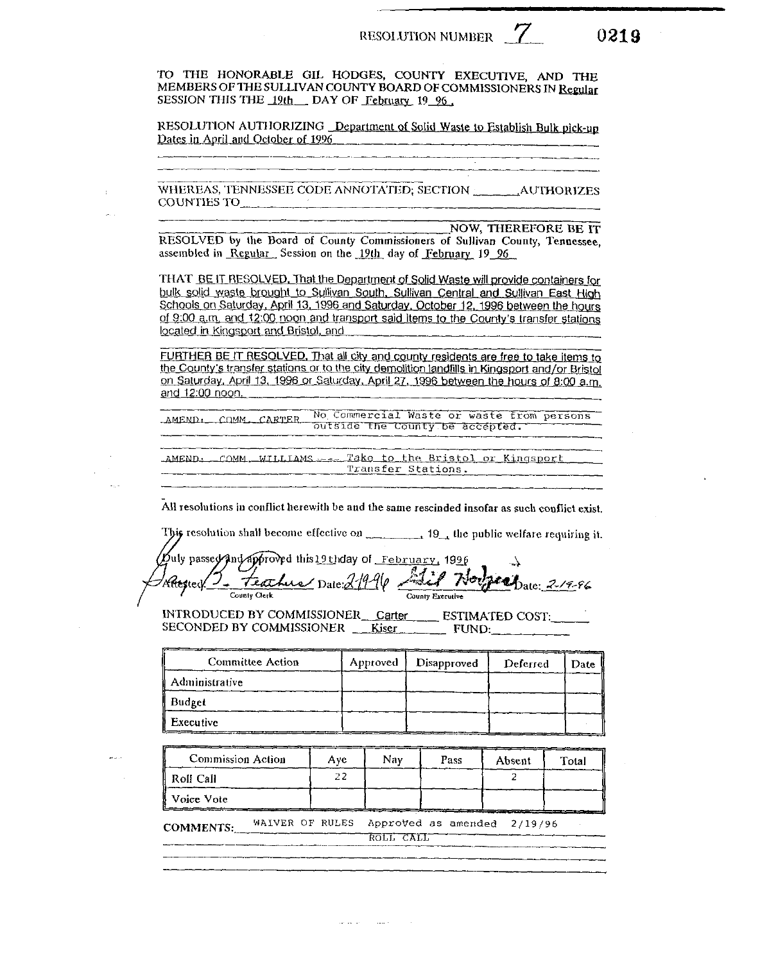0219

TO THE HONORABLE GIL HODGES. COUNTY EXECUTIVE, AND THE MEMBERS OF THE SULLIVAN COUNTY BOARD OF COMMISSIONERS IN Regular SESSION THIS THE 19th DAY OF February 19 96.

RESOLUTION AUTHORIZING Department of Solid Waste to Establish Bulk pick-up Dates in April and October of 1996

WHEREAS, TENNESSEE CODE ANNOTATED: SECTION AUTHORIZES COUNTIES TO

NOW, THEREFORE BE IT RESOLVED by the Board of County Commissioners of Sullivan County, Tennessee. assembled in Regular. Session on the 19th day of February 19 96

THAT BE IT RESOLVED. That the Department of Solid Waste will provide containers for bulk solid waste brought to Sullivan South, Sullivan Central and Sullivan East High Schools on Saturday, April 13, 1996 and Saturday, October 12, 1996 between the hours of 9:00 a.m. and 12:00 noon and transport said items to the County's transfer stations located in Kingsport and Bristol, and

FURTHER BE IT RESOLVED. That all city and county residents are free to take items to the County's transfer stations or to the city demolition landfills in Kingsport and/or Bristol on Saturday, April 13, 1996 or Saturday, April 27, 1996 between the hours of 8:00 a.m. and 12:00 noon.

AMEND: COMM CARTER No Commercial Waste or waste from persons butside the County be accepted.

AMEND: COMM WILLIAMS --- Take to the Bristol or Kingsport Transfer Stations.

All resolutions in conflict herewith be and the same rescinded insofar as such conflict exist.

| This resolution shall become effective on | $1$ $\frac{10}{10}$ the public welfare requiring it. |  |  |
|-------------------------------------------|------------------------------------------------------|--|--|
|                                           |                                                      |  |  |

Duly passey And approved this 19thday of February, 1996 Altegracy 2. Feather Date: 21996 Fiel Nor  $p_{\ell+1}$   $p_{\text{late}}$   $2^{1/9.96}$ County Executive County Clerk

INTRODUCED BY COMMISSIONER Carter ESTIMATED COST: SECONDED BY COMMISSIONER Kiser FUND:

| Committee Action | Approved | Disapproved | Deferred | Date |
|------------------|----------|-------------|----------|------|
| Administrative   |          |             |          |      |
| Budget           |          |             |          |      |
| Executive        |          |             |          |      |

**Commission Action** Nay Aye Pass Absent Total 22  $\overline{2}$ Roll Call Voice Vote

WAIVER OF RULES Approved as amended 2/19/96 **COMMENTS:** ROLL CALL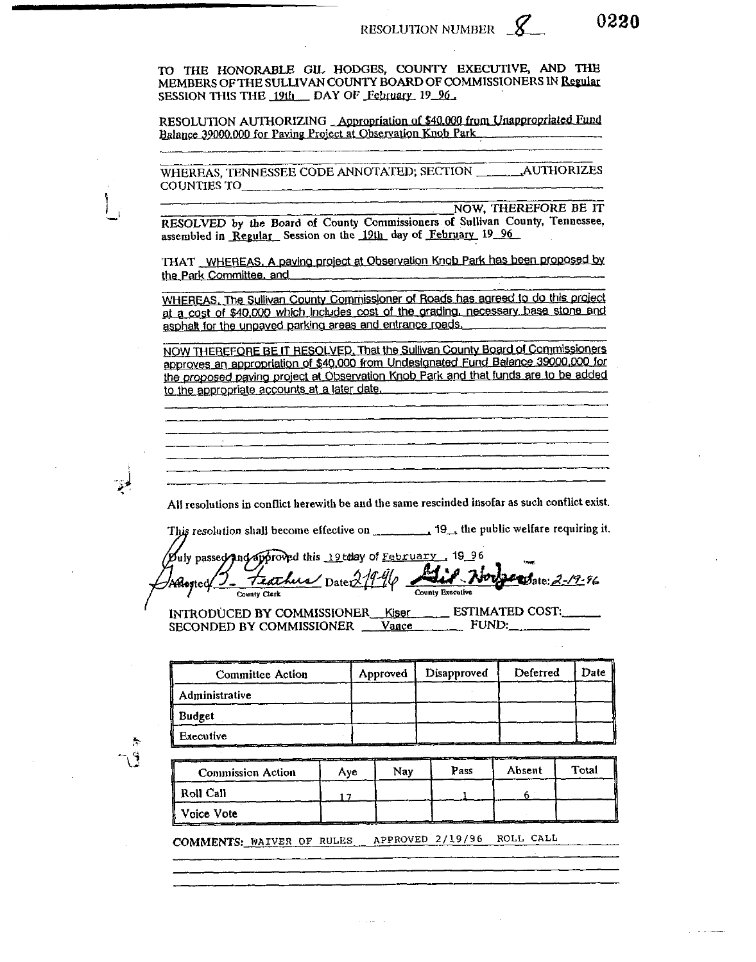TO THE HONORABLE GIL HODGES, COUNTY EXECUTIVE, AND THE MEMBERS OF THE SULLIVAN COUNTY BOARD OF COMMISSIONERS IN Regular SESSION THIS THE 19th DAY OF February 19 96

RESOLUTION AUTHORIZING Appropriation of \$40,000 from Unappropriated Fund Balance 39000,000 for Paving Project at Observation Knob Park

WHEREAS, TENNESSEE CODE ANNOTATED: SECTION AUTHORIZES COUNTIES TO  $\qquad \qquad \qquad$ 

**NOW, THEREFORE BE IT** RESOLVED by the Board of County Commissioners of Sullivan County, Tennessee, assembled in Regular Session on the 19th day of February 19 96

THAT WHEREAS, A paying project at Observation Knob Park has been proposed by the Park Committee, and

WHEREAS, The Sullivan County Commissioner of Roads has agreed to do this project at a cost of \$40,000 which includes cost of the grading, necessary base stone and asphalt for the unpaved parking areas and entrance roads.

NOW THEREFORE BE IT RESOLVED. That the Sullivan County Board of Commissioners approves an appropriation of \$40,000 from Undesignated Fund Balance 39000,000 for the proposed paving project at Observation Knob Park and that funds are to be added to the appropriate accounts at a later date.

All resolutions in conflict herewith be and the same rescinded insofar as such conflict exist.

This resolution shall become effective on 19, the public welfare requiring it.

Puly passed and approved this 19tday of February, 19, 96 Feather Date 21996 Alis Nor **Exp**ate: 2-19-96 Aftested County Executive County Clerk

INTRODUCED BY COMMISSIONER Kiser ESTIMATED COST: SECONDED BY COMMISSIONER \_\_ Vance \_\_\_\_\_\_\_\_\_ FUND:

| <b>Committee Action</b> | Approved | Disapproved | Deferred | Date |
|-------------------------|----------|-------------|----------|------|
| Administrative          |          |             |          |      |
| <b>Budget</b>           |          |             |          |      |
| <b>Executive</b>        |          |             |          |      |

 $\mathcal{F}_\mathcal{D}$ 

| <b>Commission Action</b> | Ave | ____________<br>Nav | Pass | Absent | Total |
|--------------------------|-----|---------------------|------|--------|-------|
| Roll Call                |     |                     |      |        |       |
| Voice Vote               |     |                     |      |        |       |

APPROVED 2/19/96 ROLL CALL COMMENTS: WAIVER OF RULES

0220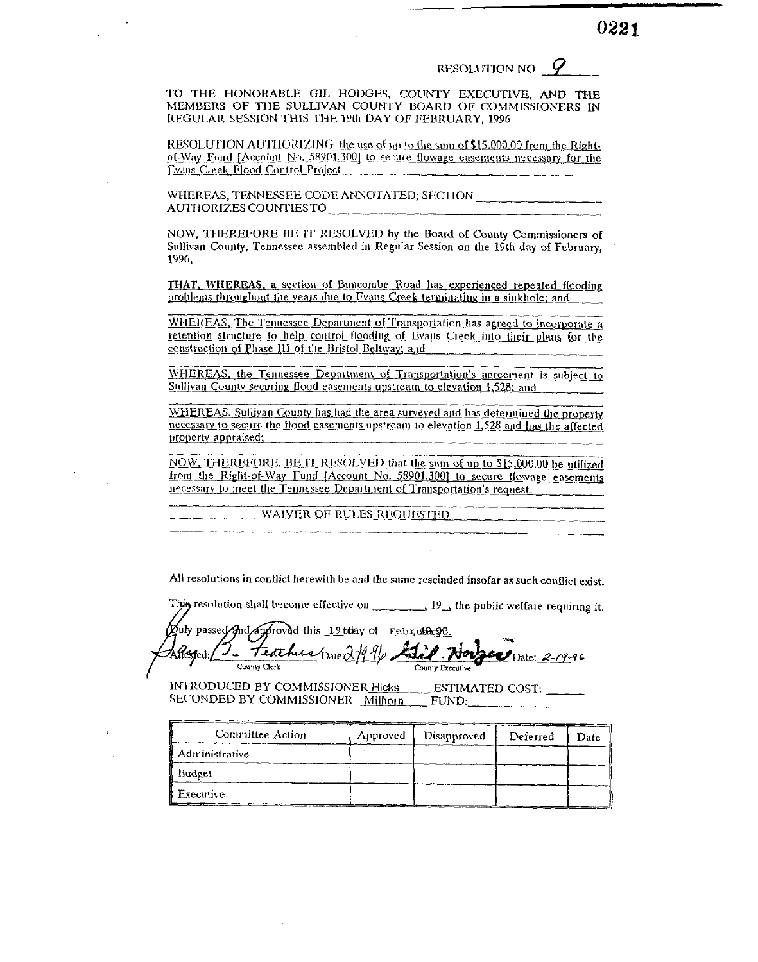### RESOLUTION NO.  $\varphi$

0221

TO THE HONORABLE GIL HODGES, COUNTY EXECUTIVE. AND THE MEMBERS OF THE SULLIVAN COUNTY BOARD OF COMMISSIONERS IN REGULAR SESSION THIS THE 19th DAY OF FEBRUARY, 1996.

RESOLUTION AUTHORIZING the use of up to the sum of \$15,000,00 from the Rightof-Way Fund [Account No. 58901.300] to secure flowage easements necessary for the Evans Creek Flood Control Project

WHEREAS, TENNESSEE CODE ANNOTATED; SECTION AUTHORIZES COUNTIES TO

NOW, THEREFORE BE IT RESOLVED by the Board of County Commissioners of Sullivan County, Tennessee assembled in Regular Session on the 19th day of February, 1996.

THAT, WHEREAS, a section of Buncombe Road has experienced repeated flooding problems throughout the years due to Evans Creek terminating in a sinkhole; and

WHEREAS, The Tennessee Department of Transportation has agreed to incorporate a retention structure to help control flooding of Evans Creek into their plans for the construction of Phase III of the Bristol Beltway; and

WHEREAS, the Tennessee Department of Transportation's agreement is subject to Sullivan County securing flood easements upstream to elevation 1,528; and

WHEREAS, Sullivan County has had the area surveyed and has determined the property necessary to secure the flood easements upstream to elevation 1,528 and has the affected property appraised;

NOW, THEREFORE, BE IT RESOLVED that the sum of up to \$15,000.00 be utilized from the Right-of-Way Fund [Account No. 58901.300] to secure flowage easements necessary to meet the Tennessee Department of Transportation's request.

WAIVER OF RULES REQUESTED

All resolutions in conflict herewith be and the same rescinded insofar as such conflict exist.

This resolution shall become effective on  $\frac{1}{2}$  19 the public welfare requiring it.

oly passed and approved this 19 today of Februin 96. Feathers Date 27 vitésjed:  $\omega_{\text{Date: } 2.19.94}$ County Clerk County Executive

INTRODUCED BY COMMISSIONER Hicks ESTIMATED COST: SECONDED BY COMMISSIONER Milhorn FUND:

| Committee Action | Approved | Disapproved | Deferred | Date |
|------------------|----------|-------------|----------|------|
| Administrative   |          |             |          |      |
| Budget           |          |             |          |      |
| ll Executive     |          |             |          |      |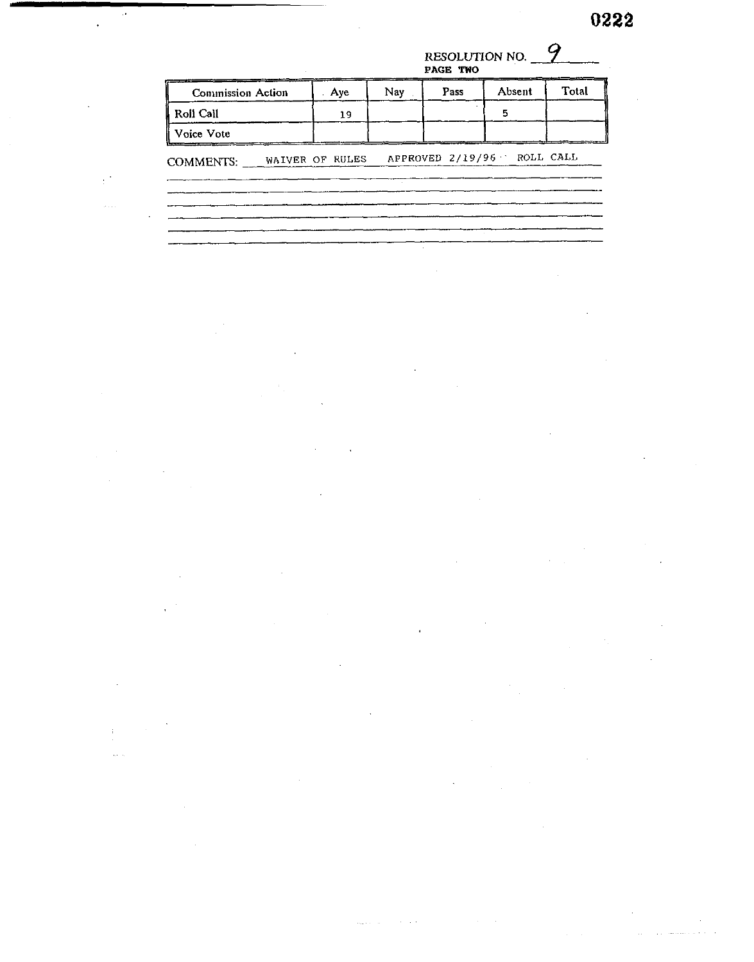## **RESOLUTION NO.** *9*  **PAGB TWO**

| Roll Call<br>5<br>19<br>Voice Vote<br>APPROVED 2/19/96 ROLL CALL<br>WAIVER OF RULES<br>COMMENTS: |
|--------------------------------------------------------------------------------------------------|
|                                                                                                  |
|                                                                                                  |
|                                                                                                  |

÷.

 $\ddot{\phantom{a}}$ 

 $\bar{z}$ 

 $\sim$ 

 $\overline{a}$ 

l,

 $\ddot{\phantom{a}}$ 

 $\bar{\mathcal{L}}$ 

 $\bar{\beta}$ 

 $\ddot{\phantom{0}}$ 

 $\mathbb{R}^3$ 

 $\hat{\mathcal{L}}$  .  $\hat{\mathcal{L}}$ 

 $\ddot{\phantom{a}}$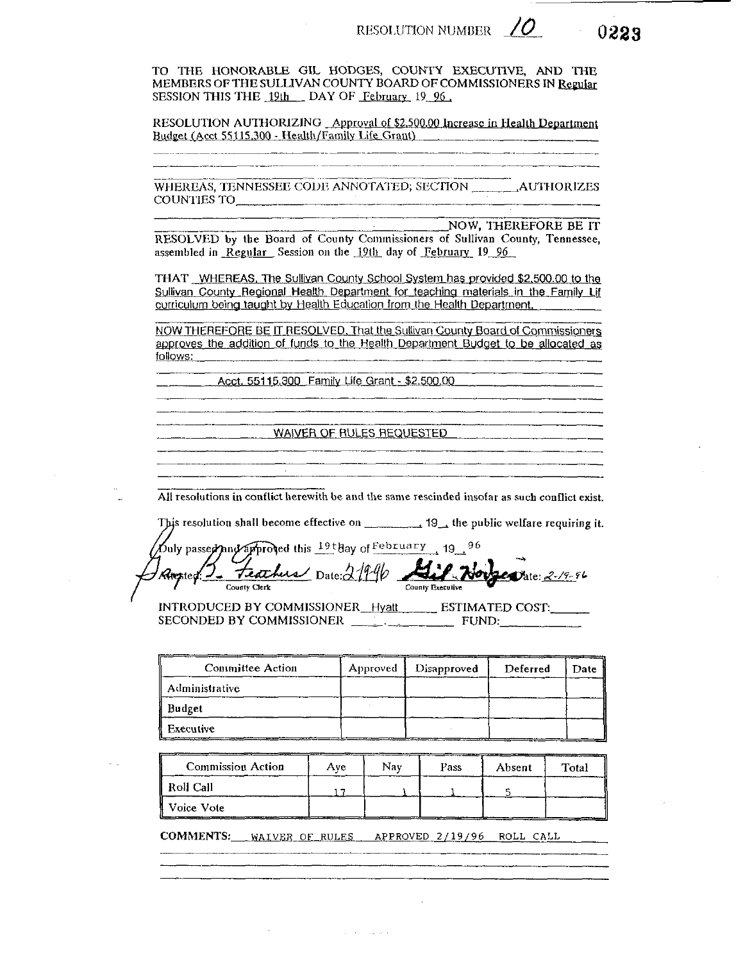0223

TO THE HONORABLE GIL HODGES, COUNTY EXECUTIVE. AND THE MEMBERS OF THE SULLIVAN COUNTY BOARD OF COMMISSIONERS IN Regular SESSION THIS THE 19th DAY OF February 19 96.

RESOLUTION AUTHORIZING Approval of \$2,500.00 Increase in Health Department Budget (Acct 55115.300 - Health/Family Life Grant)

COUNTIES TO

NOW, THEREFORE BE IT RESOLVED by the Board of County Commissioners of Sullivan County, Tennessee, assembled in Regular Session on the 19th day of February 19 96

THAT WHEREAS. The Sullivan County School System has provided \$2,500.00 to the Sullivan County Regional Health Department for teaching materials in the Family Lif curriculum being taught by Health Education from the Health Department.

NOW THEREFORE BE IT RESOLVED, That the Sullivan County Board of Commissioners approves the addition of funds to the Health Department Budget to be allocated as follows:

Acct. 55115.300 Family Life Grant - \$2,500.00

WAIVER OF RULES REQUESTED

All resolutions in conflict herewith be and the same rescinded insofar as such conflict exist.

This resolution shall become effective on \_\_\_\_\_\_\_\_\_\_\_ 19\_, the public welfare requiring it.

|              | buly passed and approved this 19thay of February 19 96<br>Anysted: 2 <del>Teachus</del> Date: 21940 Air Norge Date: 2-19-96 |  |
|--------------|-----------------------------------------------------------------------------------------------------------------------------|--|
|              |                                                                                                                             |  |
|              |                                                                                                                             |  |
| County Clerk | County Executive                                                                                                            |  |

INTRODUCED BY COMMISSIONER\_Hyatt\_\_\_\_\_\_\_\_ ESTIMATED COST:\_\_\_\_\_\_ 

| <b>Committee Action</b> | Approved | Disapproved | Deferred | Date |
|-------------------------|----------|-------------|----------|------|
| Administrative          |          |             |          |      |
| Budget                  |          |             |          |      |
| <b>Executive</b>        |          |             |          |      |

| ___<br><b>Commission Action</b> | Ave | Nav | Pass | Absent | Total |
|---------------------------------|-----|-----|------|--------|-------|
| Roll Call                       |     |     |      |        |       |
| Voice Vote                      |     |     |      |        |       |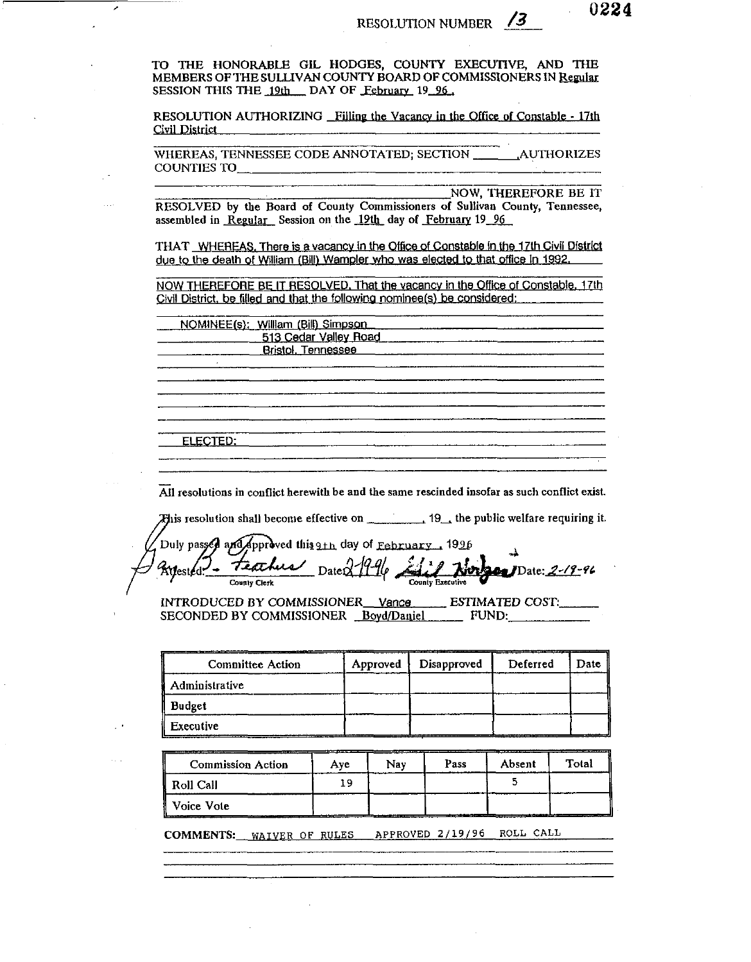TO THE HONORABLE GIL HODGES, COUNTY EXECUTIVE, AND THE MEMBERS OF THE SULLIVAN COUNTY BOARD OF COMMISSIONERS IN Regular SESSION THIS THE 19th DAY OF February 19 96.

╭

RESOLUTION AUTHORIZING Filling the Vacancy in the Office of Constable - 17th Civil District

WHEREAS, TENNESSEE CODE ANNOTATED; SECTION AUTHORIZES **COUNTIES TO** 

**NOW. THEREFORE BE IT** 

RESOLVED by the Board of County Commissioners of Sullivan County, Tennessee, assembled in Regular Session on the 19th day of February 19 96

THAT WHEREAS. There is a vacancy in the Office of Constable in the 17th Civil District due to the death of William (Bill) Wampler who was elected to that office in 1992.

NOW THEREFORE BE IT RESOLVED. That the vacancy in the Office of Constable, 17th Civil District, be filled and that the following nominee(s) be considered:

NOMINEE(s): William (Bill) Simpson 513 Cedar Valley Road Bristol, Tennessee ELECTED.

All resolutions in conflict herewith be and the same rescinded insofar as such conflict exist.

This resolution shall become effective on \_\_\_\_\_\_\_\_\_\_\_\_ 19\_, the public welfare requiring it.

Duly passed and approved this 9th day of February 1996 Kyesied! teachus Nur 200 Date: 2-19-96 DateD County Clerk

INTRODUCED BY COMMISSIONER Vance ESTIMATED COST. SECONDED BY COMMISSIONER Boyd/Daniel FUND:

| <b>Committee Action</b> | Approved | Disapproved | Deferred | Date |
|-------------------------|----------|-------------|----------|------|
| <b>Administrative</b>   |          |             |          |      |
| <b>Budget</b>           |          |             |          |      |
| Executive               |          |             |          |      |

**Commission Action** Pass Absent Total Nay Aye  $\overline{5}$ 19 Roll Call Voice Vote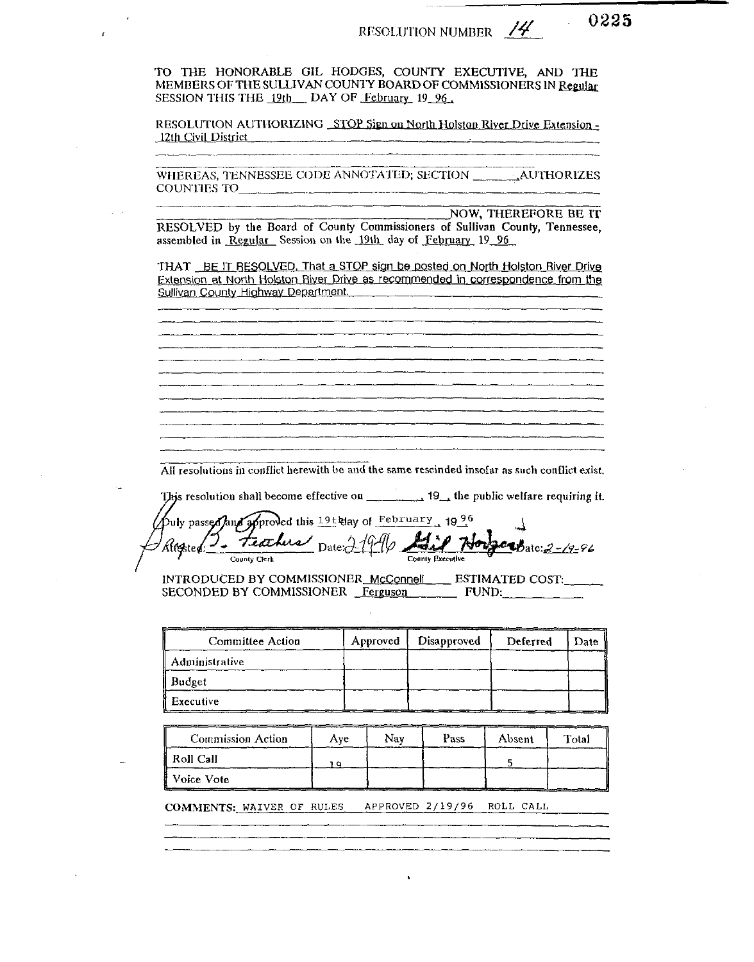0225

TO THE HONORABLE GIL HODGES, COUNTY EXECUTIVE, AND THE MEMBERS OF THE SULLIVAN COUNTY BOARD OF COMMISSIONERS IN Regular SESSION THIS THE 19th DAY OF February 19 96.

RESOLUTION AUTHORIZING STOP Sign on North Holston River Drive Extension -12th Civil District \_\_\_\_\_

NOW, THEREFORE BE IT RESOLVED by the Board of County Commissioners of Sullivan County, Tennessee, assembled in Regular Session on the 19th day of February 19 96

THAT BE IT RESOLVED. That a STOP sign be posted on North Holston River Drive Extension at North Holston River Drive as recommended in correspondence from the Sullivan County Highway Department.

All resolutions in conflict herewith be and the same rescinded insofar as such conflict exist.

This resolution shall become effective on \_\_\_\_\_\_\_\_\_\_\_ 19\_, the public welfare requiring it.

puly passed and approved this 19t day of February, 1996 Feathers Date 21 ...<br>attested: **auB**ate: 2-19-96 County Clerk County Executive

INTRODUCED BY COMMISSIONER\_McConnell \_\_\_\_\_ ESTIMATED COST: SECONDED BY COMMISSIONER Ferguson FUND:

| Committee Action | Approved | Disapproved | Deferred | Date |
|------------------|----------|-------------|----------|------|
| Administrative   |          |             |          |      |
| Budget           |          |             |          |      |
| I Executive      |          |             |          |      |

| <b>Commission Action</b> | Ave | Nav | Pass | Absent | Total |
|--------------------------|-----|-----|------|--------|-------|
| ll Roll Call             | n   |     |      |        |       |
| ∦ Voice Vote             |     |     |      |        |       |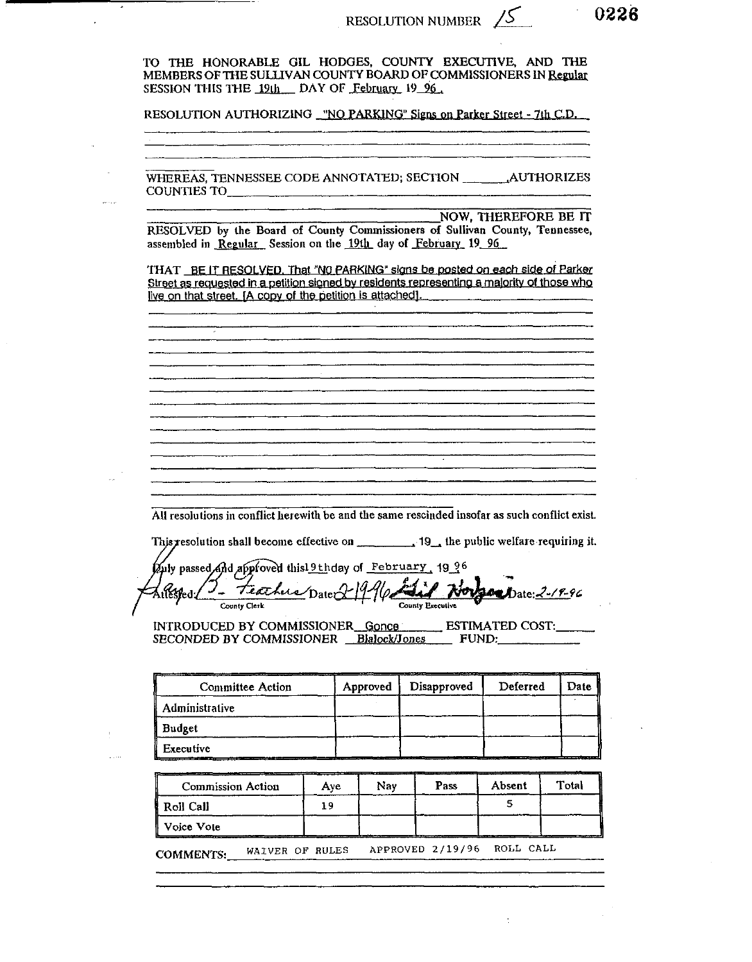RESOLUTION NUMBER  $\sqrt{5}$  0226

Ţ,

 $\mathcal{A}^{\mathcal{A}}$ 

| RESOLUTION AUTHORIZING WO PARKING" Signs on Parker Street - 7th C.D.                                                                                                                                                                      |     |          |             |              |                      |               |
|-------------------------------------------------------------------------------------------------------------------------------------------------------------------------------------------------------------------------------------------|-----|----------|-------------|--------------|----------------------|---------------|
|                                                                                                                                                                                                                                           |     |          |             |              |                      |               |
|                                                                                                                                                                                                                                           |     |          |             |              |                      |               |
|                                                                                                                                                                                                                                           |     |          |             |              |                      |               |
| RESOLVED by the Board of County Commissioners of Sullivan County, Tennessee,<br>assembled in Regular Session on the 19th day of February 19 96                                                                                            |     |          |             |              | NOW, THEREFORE BE IT |               |
| THAT BE IT RESOLVED. That "NO PARKING" signs be posted on each side of Parker<br>Street as requested in a petition signed by residents representing a majority of those who<br>live on that street. [A copy of the petition is attached]. |     |          |             |              |                      |               |
|                                                                                                                                                                                                                                           |     |          |             |              |                      |               |
|                                                                                                                                                                                                                                           |     |          |             |              |                      |               |
|                                                                                                                                                                                                                                           |     |          |             |              |                      |               |
|                                                                                                                                                                                                                                           |     |          |             |              |                      |               |
|                                                                                                                                                                                                                                           |     |          |             |              |                      |               |
|                                                                                                                                                                                                                                           |     |          |             |              |                      |               |
|                                                                                                                                                                                                                                           |     |          |             |              |                      |               |
|                                                                                                                                                                                                                                           |     |          |             |              |                      |               |
|                                                                                                                                                                                                                                           |     |          |             |              |                      |               |
|                                                                                                                                                                                                                                           |     |          |             |              |                      |               |
|                                                                                                                                                                                                                                           |     |          |             |              |                      |               |
| All resolutions in conflict herewith be and the same rescinded insofar as such conflict exist.                                                                                                                                            |     |          |             |              |                      |               |
| This resolution shall become effective on ____________ 19_, the public welfare requiring it.                                                                                                                                              |     |          |             |              |                      |               |
| Puly passed And approved thisl 9th day of February 1996                                                                                                                                                                                   |     |          |             |              |                      |               |
| Teachers Date 2-19<br>Zubsped:/                                                                                                                                                                                                           |     |          |             |              |                      | Date: 2-19-96 |
| County Clerk                                                                                                                                                                                                                              |     |          |             |              |                      |               |
| INTRODUCED BY COMMISSIONER Gonce ESTIMATED COST:<br>SECONDED BY COMMISSIONER Blalock/Jones                                                                                                                                                |     |          |             | <b>FUND:</b> |                      |               |
|                                                                                                                                                                                                                                           |     |          |             |              |                      |               |
| <b>Committee Action</b><br>Administrative                                                                                                                                                                                                 |     | Approved | Disapproved |              | Deferred             | Date          |
| Budget                                                                                                                                                                                                                                    |     |          |             |              |                      |               |
| Executive                                                                                                                                                                                                                                 |     |          |             |              |                      |               |
|                                                                                                                                                                                                                                           |     |          |             |              |                      |               |
| <b>Commission Action</b>                                                                                                                                                                                                                  | Aye | Nay      | Pass        |              | Absent<br>S.         | Total         |

COMMENTS: WAIVER OF RULES APPROVED 2/19/96 ROLL CALL

 $\frac{1}{2}$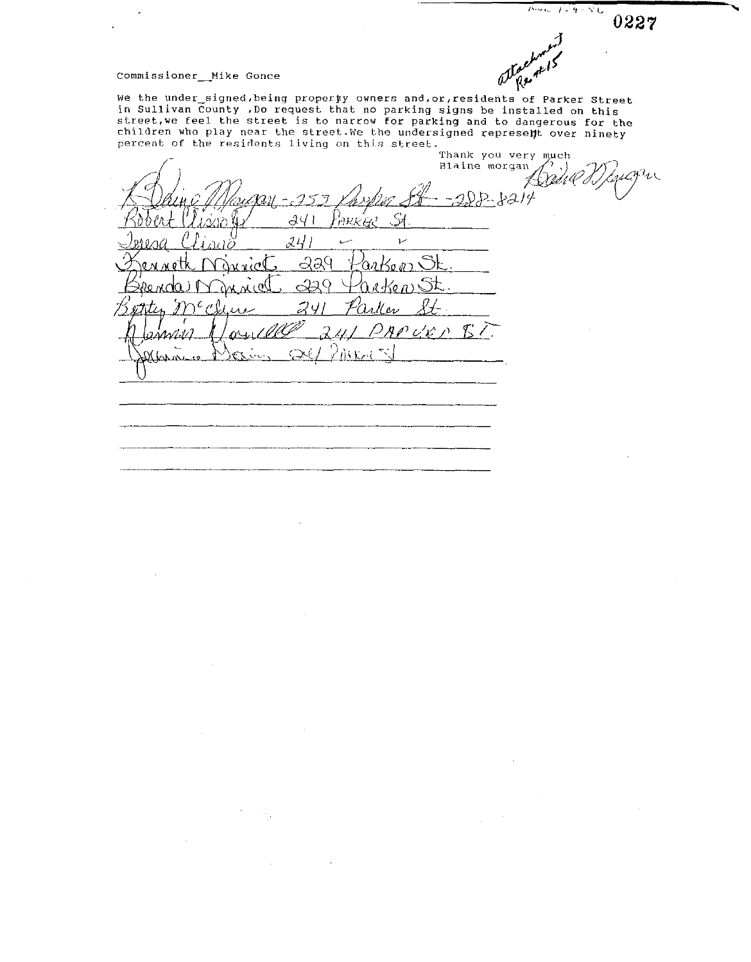$-1 - 4 - 50$ 0227

ater

### Commissioner\_\_Mike Gonce

Commissioner\_\_Mike Gonce<br>We the under\_signed, being property owners and, or, residents of Parker Street in Sullivan County **.Do** request that no parking signs be installed on this street,we feel the street is to narrow for parking and to dangerous for the children who play near the street. We the undersigned represelt over ninety

percent of the residents living on this street.<br>Thank you very much<br> $\begin{pmatrix} 1 & 0 & 0 \\ 0 & 0 & 0 \\ 0 & 0 & 0 \\ 0 & 0 & 0 \\ 0 & 0 & 0 \\ 0 & 0 & 0 \\ 0 & 0 & 0 \\ 0 & 0 & 0 \\ 0 & 0 & 0 \\ 0 & 0 & 0 \\ 0 & 0 & 0 \\ 0 & 0 & 0 \\ 0 & 0 & 0 \\ 0 & 0 & 0 \\ 0 & 0 & 0 \\ 0 & 0 & 0 \\ 0$ Ry much  $22 - 3214$ 'nek'ee dЧ  $24$ سيا  $\overline{V}$ *a*a9  $Z\cdot$ À. روزاريرا ۸A 76  $\mathbf{v}$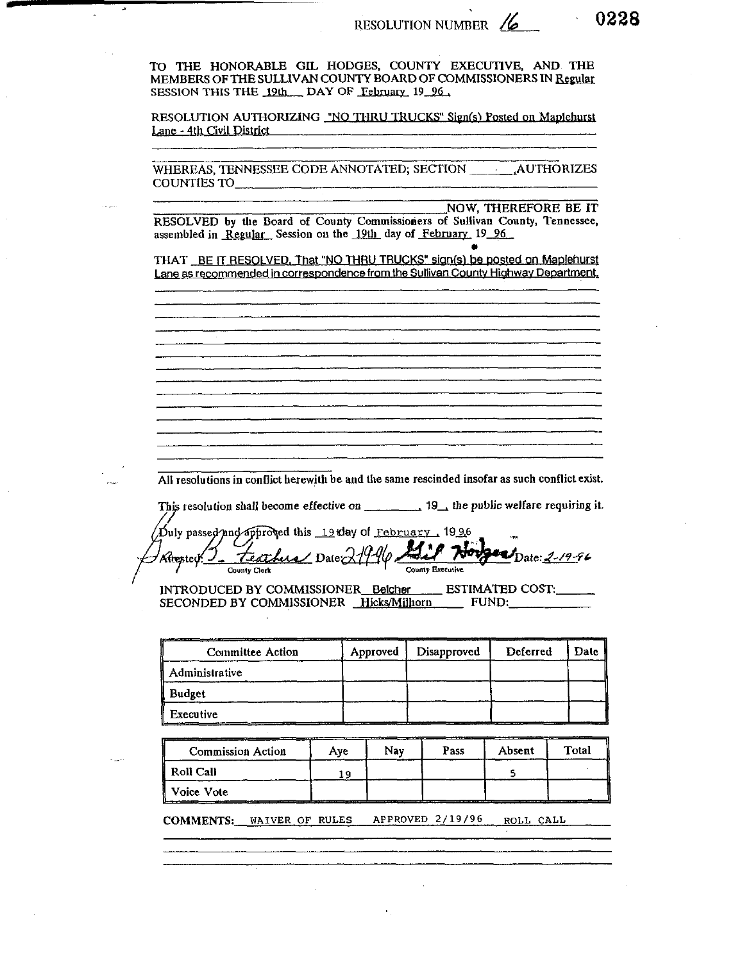TO THE HONORABLE GIL HODGES, COUNTY EXECUTIVE, AND THE MEMBERS OF THE SULLIVAN COUNTY BOARD OF COMMISSIONERS IN Regular SESSION THIS THE 19th DAY OF February 19 96,

RESOLUTION AUTHORIZING "NO THRU TRUCKS" Sign(s) Posted on Maplehurst Lane - 4th Civil District

WHEREAS, TENNESSEE CODE ANNOTATED; SECTION AUTHORIZES COUNTIES TO

**NOW, THEREFORE BE IT** 

0228

RESOLVED by the Board of County Commissioners of Sullivan County, Tennessee, assembled in Regular Session on the 19th day of February 19 96

THAT BE IT RESOLVED. That "NO THRU TRUCKS" sign(s) be posted on Maplehurst Lane as recommended in correspondence from the Sullivan County Highway Department.

All resolutions in conflict herewith be and the same rescinded insofar as such conflict exist.

This resolution shall become effective on 19, the public welfare requiring it.

 $\Delta$ uly passed and approved this 19 day of February, 1996 Mil Norge Date: 2-19-96 Feathers Date 21996. Attented / County Executive County Clork

INTRODUCED BY COMMISSIONER\_Belcher \_\_\_\_ ESTIMATED COST:\_\_\_\_\_ SECONDED BY COMMISSIONER Hicks/Milhorn FUND:

| <b>Committee Action</b> | Approved | Disapproved | Deferred | <b>Date</b> |
|-------------------------|----------|-------------|----------|-------------|
| Administrative          |          |             |          |             |
| <b>Budget</b>           |          |             |          |             |
| Executive               |          |             |          |             |

| <b>Commission Action</b> | Ave                 | __<br>Nav | Pass | Absent | Total |
|--------------------------|---------------------|-----------|------|--------|-------|
| Roll Call                | €                   |           |      |        |       |
| ll Voice Vote            | ___________________ |           |      |        |       |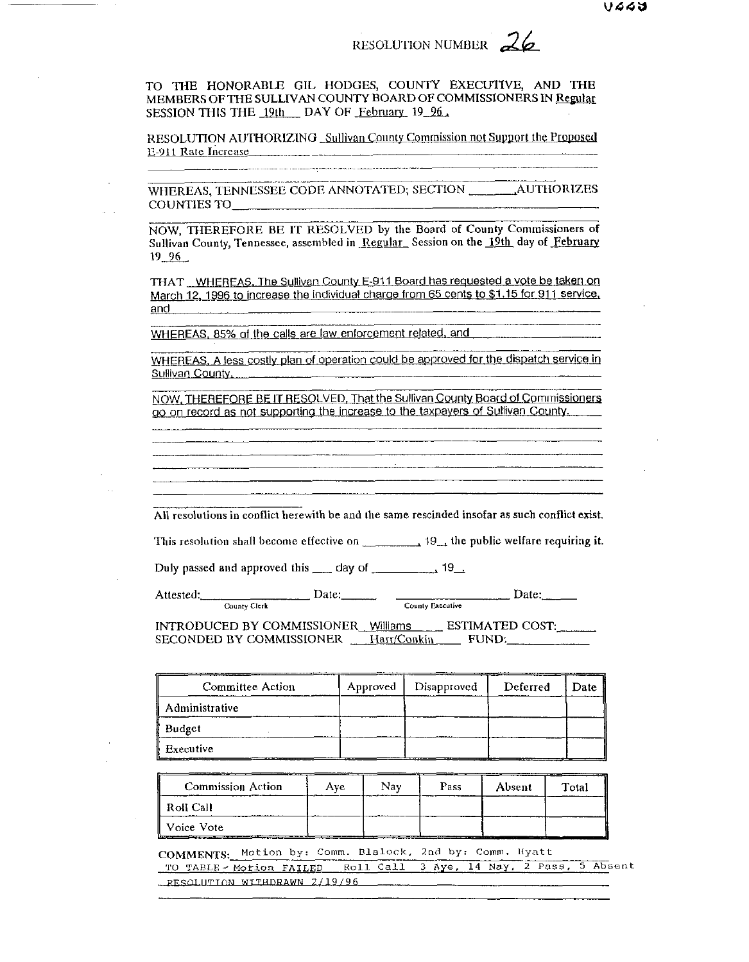TO THE HONORABLE GIL HODGES, COUNTY EXECUTIVE, AND THE MEMBERS OF THE SULLIVAN COUNTY BOARD OF COMMISSIONERS IN Regular SESSION THIS THE 19th DAY OF February 19 96.

RESOLUTION AUTHORIZING Sullivan County Commission not Support the Proposed E-911 Rate Increase

COUNTIES TO THE COUNTIES OF THE COUNTIES OF THE COUNTIES OF THE COUNTIES OF THE COUNTIES OF THE COUNTIES OF THE COUNTIES

NOW, THEREFORE BE IT RESOLVED by the Board of County Commissioners of Sullivan County, Tennessee, assembled in Regular Session on the 19th day of February  $19 - 96$ 

THAT WHEREAS, The Sullivan County E-911 Board has requested a vote be taken on March 12, 1996 to increase the individual charge from 65 cents to \$1.15 for 911 service, and

WHEREAS, 85% of the calls are law enforcement related, and

WHEREAS, A less costly plan of operation could be approved for the dispatch service in Sullivan County,

NOW, THEREFORE BE IT RESOLVED, That the Sullivan County Board of Commissioners go on record as not supporting the increase to the taxpayers of Sullivan County.

All resolutions in conflict herewith be and the same rescinded insofar as such conflict exist.

This resolution shall become effective on 19, 19, the public welfare requiring it.

Attested: County Clerk Date:  $\qquad \qquad$  Date:  $\qquad \qquad$  Date:

INTRODUCED BY COMMISSIONER Williams ESTIMATED COST:

SECONDED BY COMMISSIONER \_\_\_ Harr/Conkin \_\_\_\_\_\_ FUND:\_\_\_\_\_\_\_\_\_\_\_\_\_

| Committee Action | Approved | Disapproved | Deferred | Date I |
|------------------|----------|-------------|----------|--------|
| i Administrative |          |             |          |        |
| Budget           |          |             |          |        |
| Executive        |          |             |          |        |

| <b>Commission Action</b> | Ave | Nav | Pass | Absent | Total |
|--------------------------|-----|-----|------|--------|-------|
| Roll Call                |     |     |      |        |       |
| Voice Vote               |     |     |      |        |       |

COMMENTS: Motion by: Comm. Blalock, 2nd by: Comm. Hyatt TO TABLE - Motion FAILED Roll Call 3 Aye, 14 Nay, 2 Pass, 5 Absent RESOLUTION WITHDRAWN 2/19/96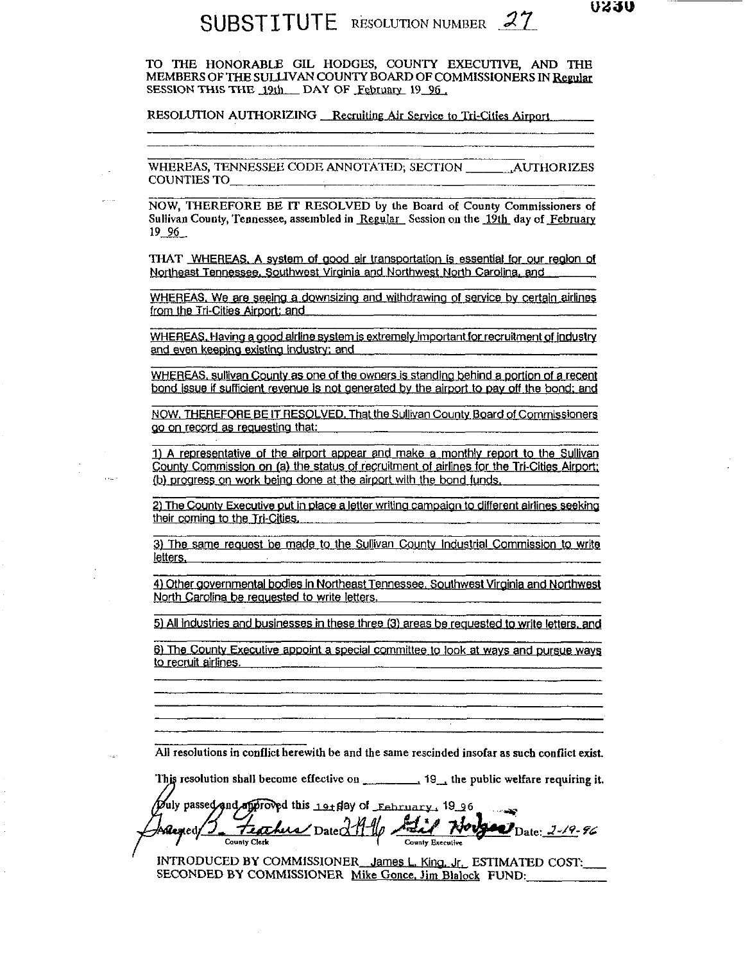## SUBSTITUTE RESOLUTION NUMBER 27

TO THE HONORABLE GIL HODGES, COUNTY EXECUTIVE, AND THE MEMBERS OF THE SULLIVAN COUNTY BOARD OF COMMISSIONERS IN Regular SESSION THIS THE 19th DAY OF February 19 96.

RESOLUTION AUTHORIZING Recruiting Air Service to Tri-Cities Airport

WHEREAS, TENNESSEE CODE ANNOTATED; SECTION AUTHORIZES **COUNTIES TO** 

NOW, THEREFORE BE IT RESOLVED by the Board of County Commissioners of Sullivan County, Tennessee, assembled in Regular Session on the 19th day of February  $19, 96$ 

THAT WHEREAS, A system of good air transportation is essential for our region of Northeast Tennessee, Southwest Virginia and Northwest North Carolina, and

WHEREAS. We are seeing a downsizing and withdrawing of service by certain airlines from the Tri-Cities Airport: and

WHEREAS, Having a good airline system is extremely important for recruitment of industry and even keeping existing industry; and

WHEREAS, sullivan County as one of the owners is standing behind a portion of a recent bond issue if sufficient revenue is not generated by the airport to pay off the bond; and

NOW, THEREFORE BE IT RESOLVED. That the Sullivan County Board of Commissioners go on record as requesting that:

1) A representative of the airport appear and make a monthly report to the Sullivan County Commission on (a) the status of recruitment of airlines for the Tri-Cities Airport; (b) progress on work being done at the airport with the bond funds,

2) The County Executive put in place a letter writing campaion to different airlines seeking their coming to the Tri-Cities.

3) The same request be made to the Sullivan County Industrial Commission to write letters.

4) Other governmental bodies in Northeast Tennessee, Southwest Virginia and Northwest North Carolina be requested to write letters,

5) All industries and businesses in these three (3) areas be requested to write letters, and

6) The County Executive appoint a special committee to look at ways and pursue ways to recruit airlines.

All resolutions in conflict herewith be and the same rescinded insofar as such conflict exist.

This resolution shall become effective on  $\ldots$ , 19, the public welfare requiring it.

Duly passed and approved this 19t day of February, 1996 Feather Date 219 . ھال  $2 - 9 - 96$ Aflented/ County Executive **County Clerk** 

INTRODUCED BY COMMISSIONER James L. King, Jr., ESTIMATED COST: SECONDED BY COMMISSIONER Mike Gonce, Jim Blalock FUND: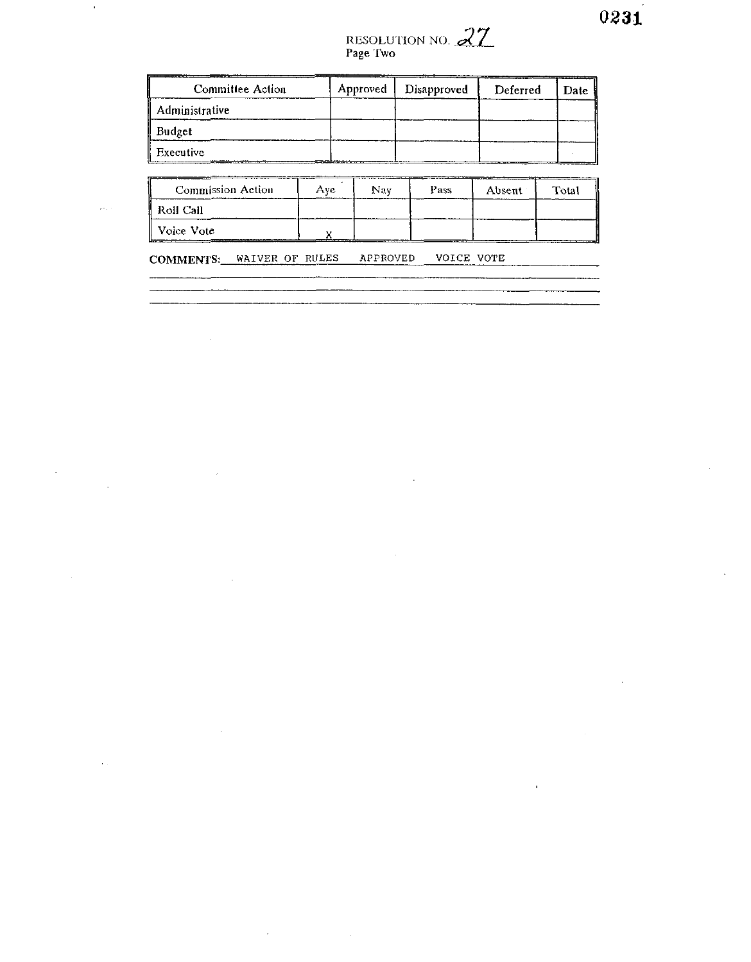$\bar{\mathbf{r}}$ 

# RESOLUTION NO. 27

| <b>Committee Action</b> | Approved | Disapproved | Deferred | Date |
|-------------------------|----------|-------------|----------|------|
| Administrative          |          |             |          |      |
| Budget                  |          |             |          |      |
| Executive               |          |             |          |      |

| Commission Action | Ave | Nav | Pass | Absent | Total   |
|-------------------|-----|-----|------|--------|---------|
| <b>Roll Call</b>  |     |     |      |        |         |
| Voice Vote        |     |     |      |        | ------- |

**COMMENTS:** WAIVER OF RULES APPROVED VOICE VOTE

 $\sim$ 

 $\sim$ 

 $\mathcal{L}$ 

 $\hat{\mathbf{r}}$ 

 $\mathbb{R}^2$ 

 $\hat{\mathcal{L}}$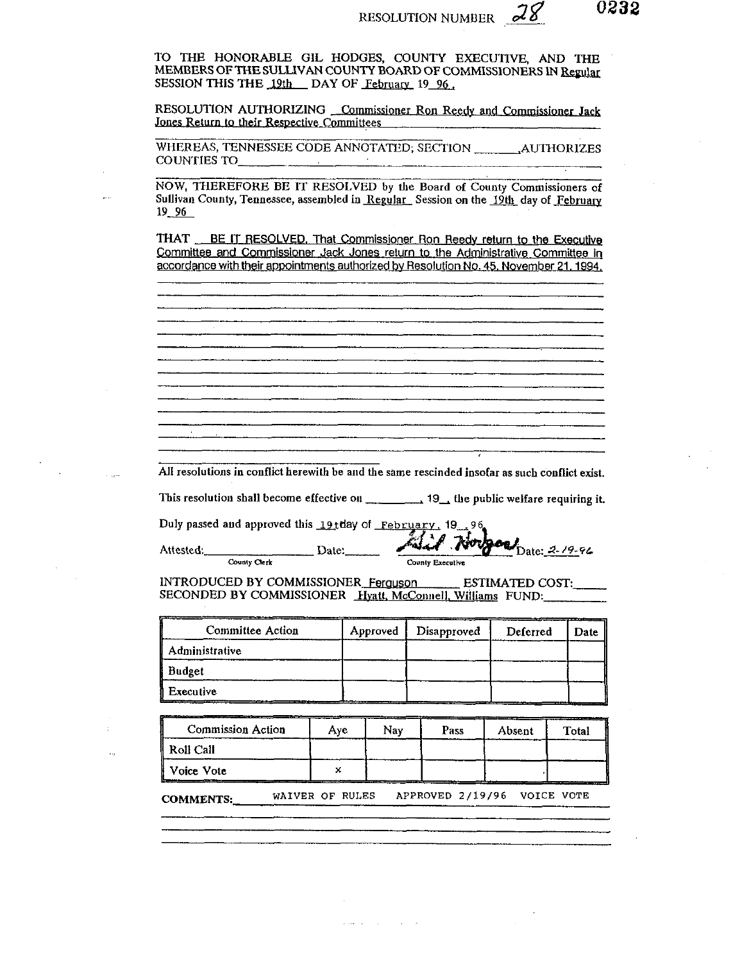TO THE HONORABLE GIL HODGES, COUNTY EXECUTIVE, AND THE MEMBERS OF **THE** SULLIVAN COUNTY BOARD OF COMMISSIONERS **lN**  SESSION THIS THE 19th DAY OF February 19 96.

RESOLUTION AUTHORIZING Commissioner Ron Reedy and Commissioner Jack Jones Return to their Respective Committees

WHEREAS, TENNESSEE CODE ANNOTATED; SECTION .AUTHORIZES COUNTIES TO

NOW, THEREFORE BE IT RESOLVED by the Board of County Commissioners of Sullivan County, Tennessee, assembled in Regular Session on the 19th day of February 19<sub>96</sub>

**THAT** BE IT RESOLVED. That Commissioner Ron Reedy return to the Executive Committee and Commissioner Jack Jones return to the Administrative Committee in accordance with their appointments authorized by Resolution No. 45, November 21, 1994.

All resolutions in conflict herewith be and the same rescinded insofar as such conflict exist.

This resolution shall become effective on  $\frac{1}{2}$ , 19, the public welfare requiring it.

Duly passed and approved this 19tday of **February**, 19<sub>02, 96</sub>

Attested: Date: Date: Date: 2-19-9

INTRODUCED BY COMMISSIONER Ferguson ESTIMATED COST: SECONDED BY COMMISSIONER Hyatt, McConnell, Williams FUND:

| <b>Committee Action</b> | Approved | Disapproved | Deferred | <b>Date</b> |
|-------------------------|----------|-------------|----------|-------------|
| Administrative          |          |             |          |             |
| Budget                  |          |             |          |             |
| Executive               |          |             |          |             |

| <b>Commission Action</b> | Ave | Nav | Pass | ---<br>Absent | Total |
|--------------------------|-----|-----|------|---------------|-------|
| Roll Call                |     |     |      |               |       |
| ll Voice Vote            |     |     |      |               |       |

**COMMENTS: WAIVER OF RULES APPROVED 2/19/96 VOICE VOTE**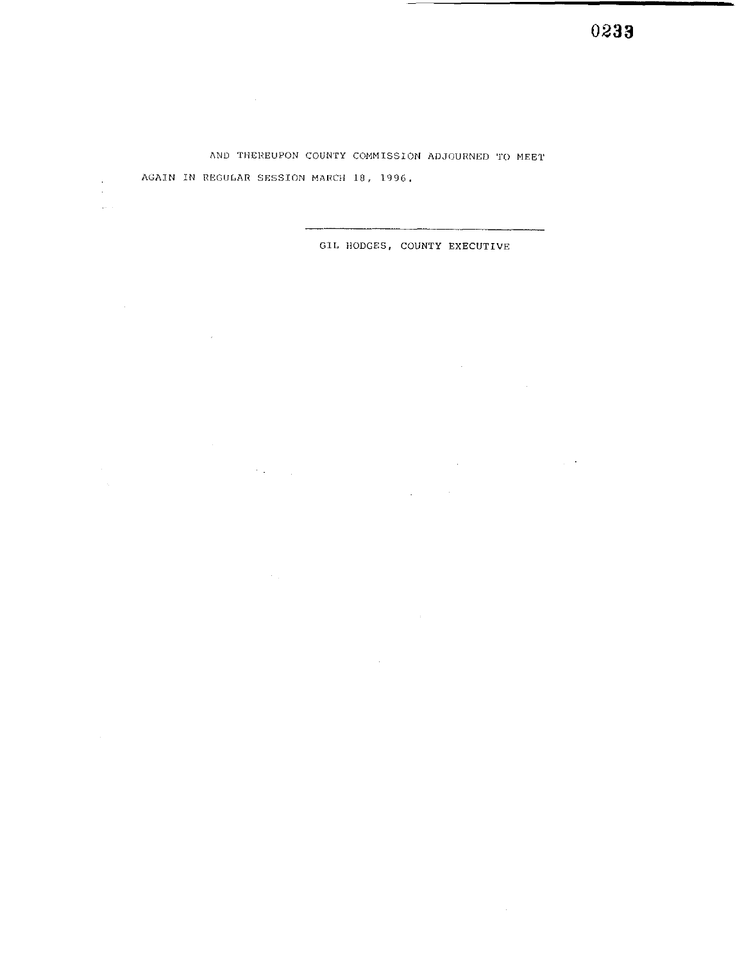0233

AND THEREUPON COUNTY COMMISSION ADJOURNED TO MEET AGAIN IN REGULAR SESSION MARCH 18, 1996.

 $\mathcal{L}^{\text{max}}_{\text{max}}$  and  $\mathcal{L}^{\text{max}}_{\text{max}}$ 

 $\mathcal{F}(\mathbf{r})$  ,  $\mathcal{F}(\mathbf{r})$ 

 $\sim 20\,$  km  $^{-1}$ 

 $\sim 10^{-10}$ 

 $\bar{u}$ 

 $\langle \omega_{\rm{max}} \rangle$ 

GIL HODGES, COUNTY EXECUTIVE

 $\Delta \sim 10^{11}$  km s  $^{-1}$ 

 $\mathcal{L}^{\text{max}}_{\text{max}}$ 

 $\sim$   $\sim$ 

 $\sim 10^{11}$  km s  $^{-1}$ 

 $\mathcal{L}^{\mathcal{L}}$  and  $\mathcal{L}^{\mathcal{L}}$  are the set of the set of the set of the  $\mathcal{L}^{\mathcal{L}}$